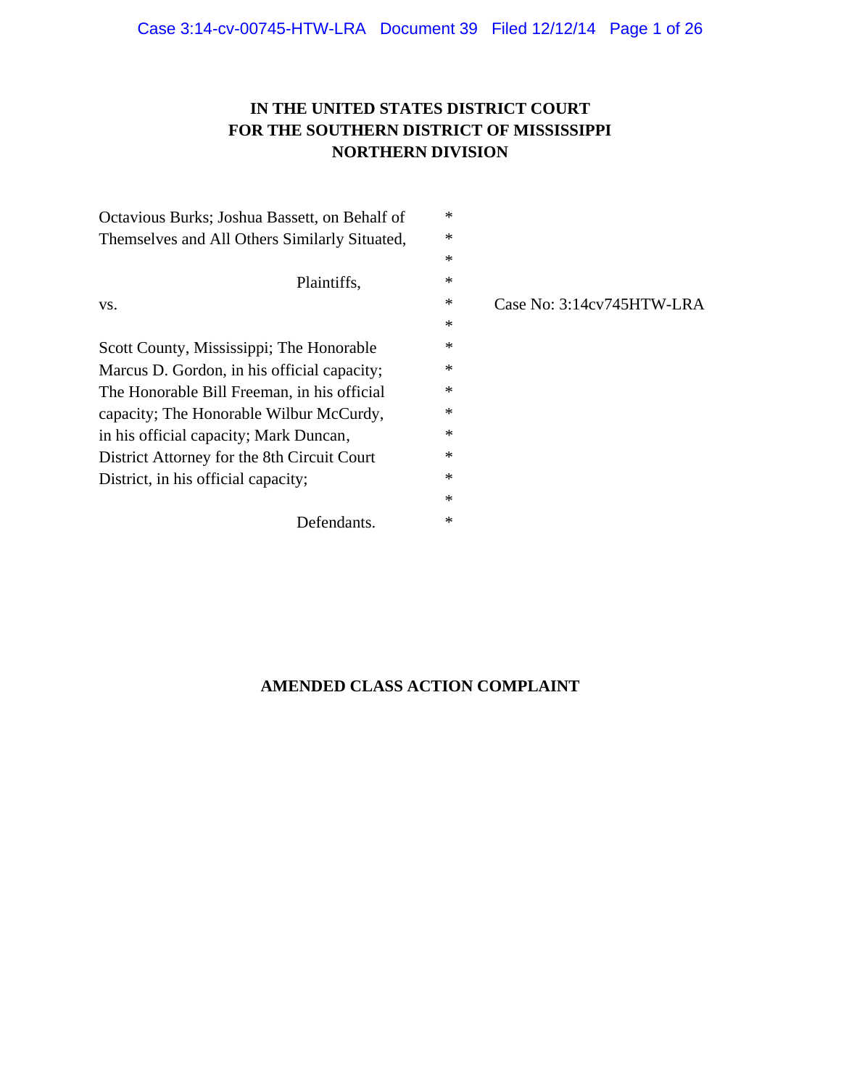# **IN THE UNITED STATES DISTRICT COURT FOR THE SOUTHERN DISTRICT OF MISSISSIPPI NORTHERN DIVISION**

| Octavious Burks; Joshua Bassett, on Behalf of | $\ast$ |                           |
|-----------------------------------------------|--------|---------------------------|
| Themselves and All Others Similarly Situated, | ∗      |                           |
|                                               | $\ast$ |                           |
| Plaintiffs,                                   | ∗      |                           |
| VS.                                           | $\ast$ | Case No: 3:14cv745HTW-LRA |
|                                               | $\ast$ |                           |
| Scott County, Mississippi; The Honorable      | $\ast$ |                           |
| Marcus D. Gordon, in his official capacity;   | ∗      |                           |
| The Honorable Bill Freeman, in his official   | $\ast$ |                           |
| capacity; The Honorable Wilbur McCurdy,       | ∗      |                           |
| in his official capacity; Mark Duncan,        | $\ast$ |                           |
| District Attorney for the 8th Circuit Court   | $\ast$ |                           |
| District, in his official capacity;           | $\ast$ |                           |
|                                               | $\ast$ |                           |
| Defendants.                                   | ∗      |                           |

## **AMENDED CLASS ACTION COMPLAINT**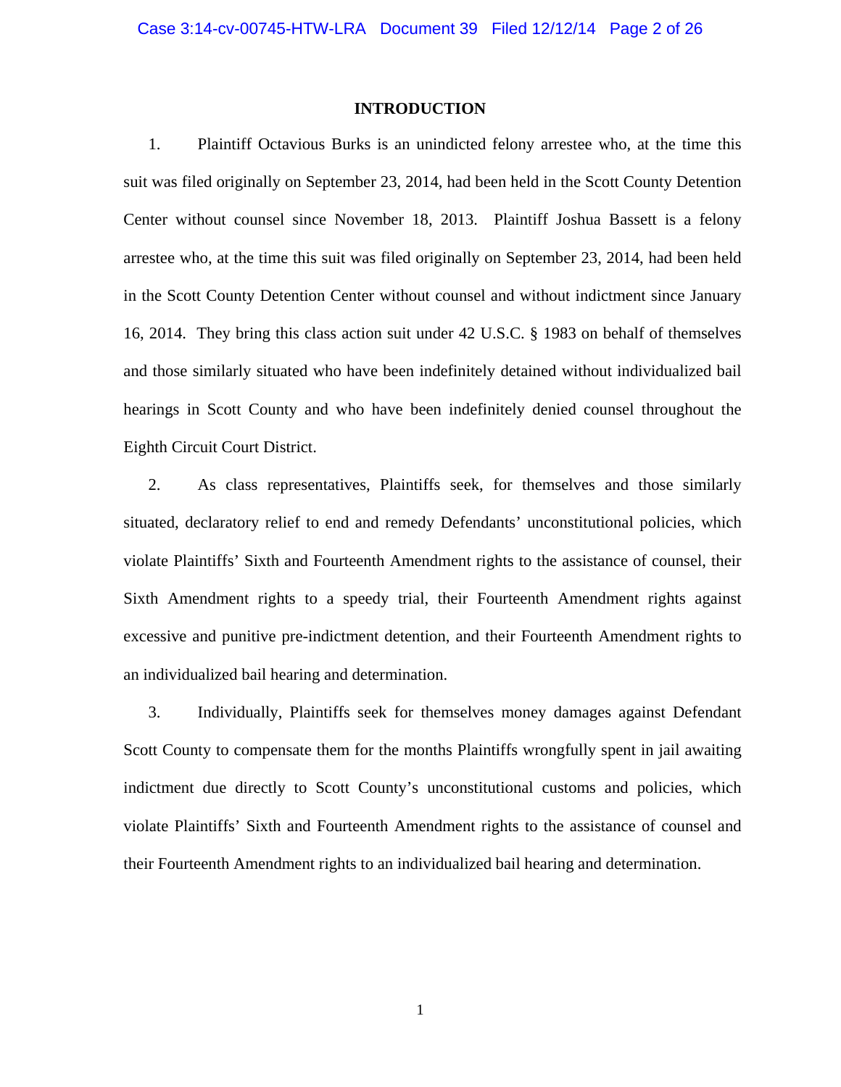## **INTRODUCTION**

1. Plaintiff Octavious Burks is an unindicted felony arrestee who, at the time this suit was filed originally on September 23, 2014, had been held in the Scott County Detention Center without counsel since November 18, 2013. Plaintiff Joshua Bassett is a felony arrestee who, at the time this suit was filed originally on September 23, 2014, had been held in the Scott County Detention Center without counsel and without indictment since January 16, 2014. They bring this class action suit under 42 U.S.C. § 1983 on behalf of themselves and those similarly situated who have been indefinitely detained without individualized bail hearings in Scott County and who have been indefinitely denied counsel throughout the Eighth Circuit Court District.

2. As class representatives, Plaintiffs seek, for themselves and those similarly situated, declaratory relief to end and remedy Defendants' unconstitutional policies, which violate Plaintiffs' Sixth and Fourteenth Amendment rights to the assistance of counsel, their Sixth Amendment rights to a speedy trial, their Fourteenth Amendment rights against excessive and punitive pre-indictment detention, and their Fourteenth Amendment rights to an individualized bail hearing and determination.

3. Individually, Plaintiffs seek for themselves money damages against Defendant Scott County to compensate them for the months Plaintiffs wrongfully spent in jail awaiting indictment due directly to Scott County's unconstitutional customs and policies, which violate Plaintiffs' Sixth and Fourteenth Amendment rights to the assistance of counsel and their Fourteenth Amendment rights to an individualized bail hearing and determination.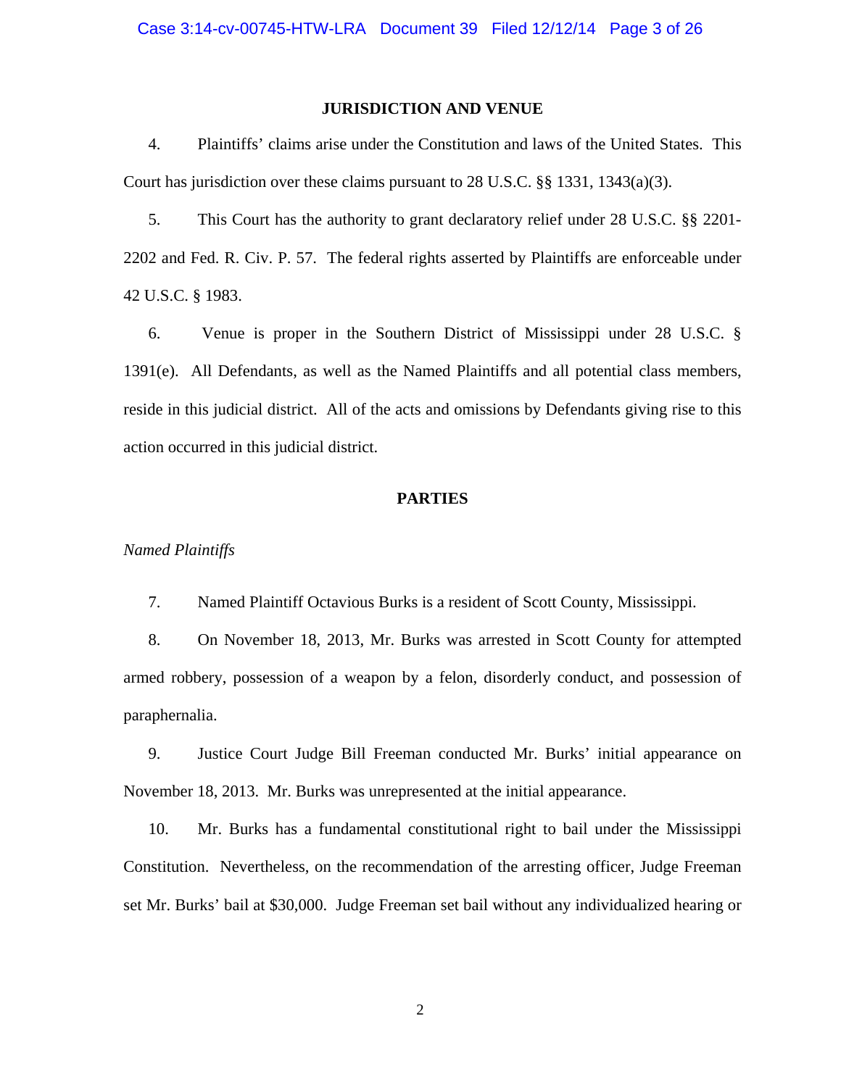## **JURISDICTION AND VENUE**

4. Plaintiffs' claims arise under the Constitution and laws of the United States. This Court has jurisdiction over these claims pursuant to 28 U.S.C. §§ 1331, 1343(a)(3).

5. This Court has the authority to grant declaratory relief under 28 U.S.C. §§ 2201- 2202 and Fed. R. Civ. P. 57. The federal rights asserted by Plaintiffs are enforceable under 42 U.S.C. § 1983.

6. Venue is proper in the Southern District of Mississippi under 28 U.S.C. § 1391(e). All Defendants, as well as the Named Plaintiffs and all potential class members, reside in this judicial district. All of the acts and omissions by Defendants giving rise to this action occurred in this judicial district.

## **PARTIES**

#### *Named Plaintiffs*

7. Named Plaintiff Octavious Burks is a resident of Scott County, Mississippi.

8. On November 18, 2013, Mr. Burks was arrested in Scott County for attempted armed robbery, possession of a weapon by a felon, disorderly conduct, and possession of paraphernalia.

9. Justice Court Judge Bill Freeman conducted Mr. Burks' initial appearance on November 18, 2013. Mr. Burks was unrepresented at the initial appearance.

10. Mr. Burks has a fundamental constitutional right to bail under the Mississippi Constitution. Nevertheless, on the recommendation of the arresting officer, Judge Freeman set Mr. Burks' bail at \$30,000. Judge Freeman set bail without any individualized hearing or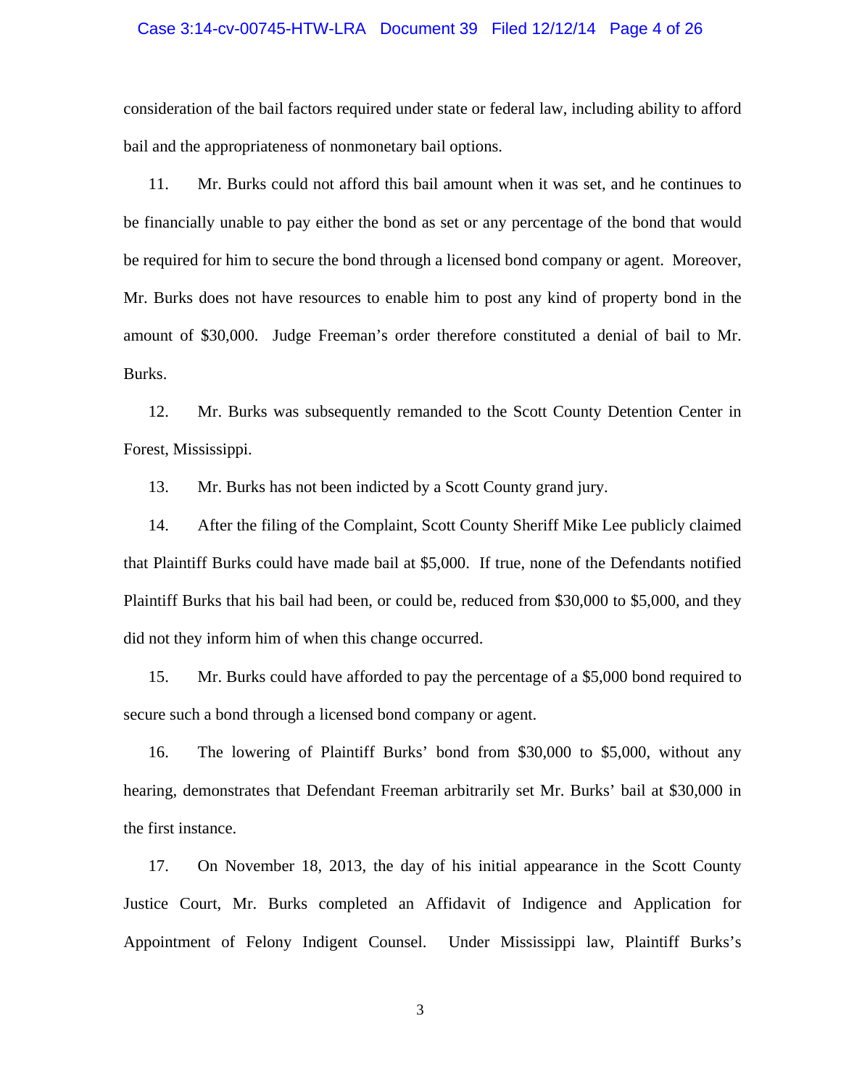#### Case 3:14-cv-00745-HTW-LRA Document 39 Filed 12/12/14 Page 4 of 26

consideration of the bail factors required under state or federal law, including ability to afford bail and the appropriateness of nonmonetary bail options.

11. Mr. Burks could not afford this bail amount when it was set, and he continues to be financially unable to pay either the bond as set or any percentage of the bond that would be required for him to secure the bond through a licensed bond company or agent. Moreover, Mr. Burks does not have resources to enable him to post any kind of property bond in the amount of \$30,000. Judge Freeman's order therefore constituted a denial of bail to Mr. Burks.

12. Mr. Burks was subsequently remanded to the Scott County Detention Center in Forest, Mississippi.

13. Mr. Burks has not been indicted by a Scott County grand jury.

14. After the filing of the Complaint, Scott County Sheriff Mike Lee publicly claimed that Plaintiff Burks could have made bail at \$5,000. If true, none of the Defendants notified Plaintiff Burks that his bail had been, or could be, reduced from \$30,000 to \$5,000, and they did not they inform him of when this change occurred.

15. Mr. Burks could have afforded to pay the percentage of a \$5,000 bond required to secure such a bond through a licensed bond company or agent.

16. The lowering of Plaintiff Burks' bond from \$30,000 to \$5,000, without any hearing, demonstrates that Defendant Freeman arbitrarily set Mr. Burks' bail at \$30,000 in the first instance.

17. On November 18, 2013, the day of his initial appearance in the Scott County Justice Court, Mr. Burks completed an Affidavit of Indigence and Application for Appointment of Felony Indigent Counsel. Under Mississippi law, Plaintiff Burks's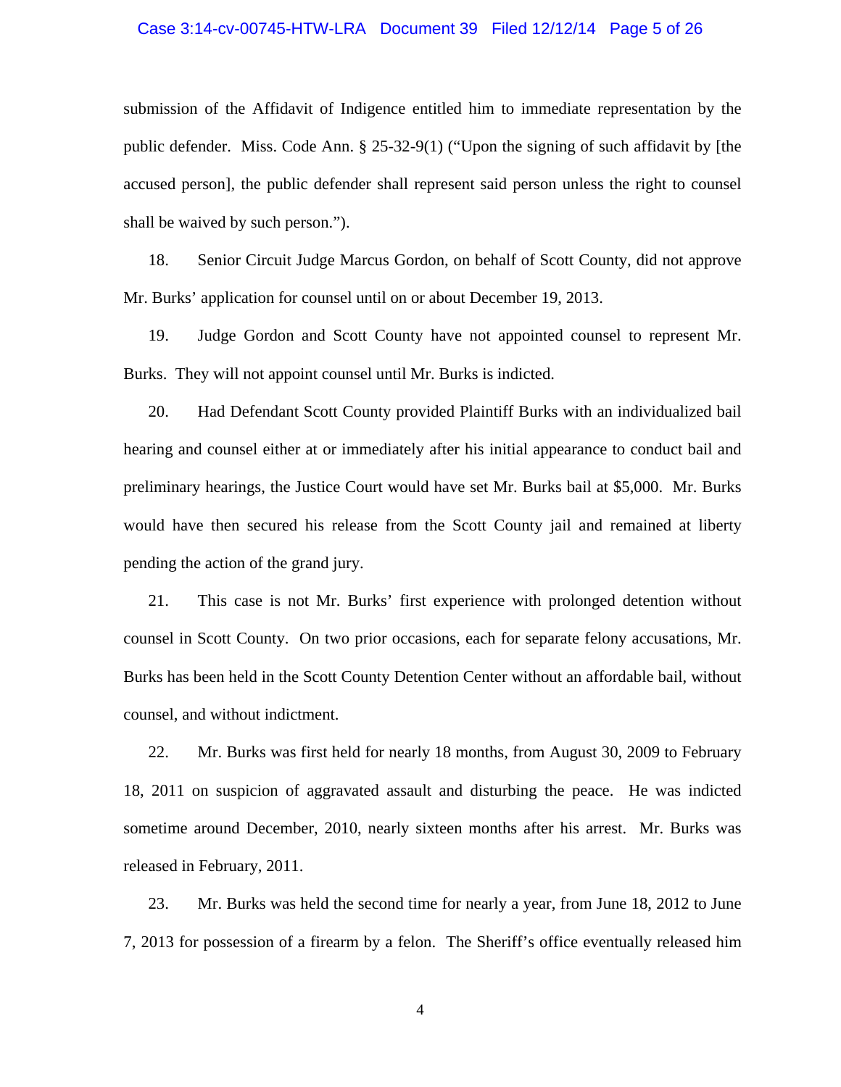#### Case 3:14-cv-00745-HTW-LRA Document 39 Filed 12/12/14 Page 5 of 26

submission of the Affidavit of Indigence entitled him to immediate representation by the public defender. Miss. Code Ann. § 25-32-9(1) ("Upon the signing of such affidavit by [the accused person], the public defender shall represent said person unless the right to counsel shall be waived by such person.").

18. Senior Circuit Judge Marcus Gordon, on behalf of Scott County, did not approve Mr. Burks' application for counsel until on or about December 19, 2013.

19. Judge Gordon and Scott County have not appointed counsel to represent Mr. Burks. They will not appoint counsel until Mr. Burks is indicted.

20. Had Defendant Scott County provided Plaintiff Burks with an individualized bail hearing and counsel either at or immediately after his initial appearance to conduct bail and preliminary hearings, the Justice Court would have set Mr. Burks bail at \$5,000. Mr. Burks would have then secured his release from the Scott County jail and remained at liberty pending the action of the grand jury.

21. This case is not Mr. Burks' first experience with prolonged detention without counsel in Scott County. On two prior occasions, each for separate felony accusations, Mr. Burks has been held in the Scott County Detention Center without an affordable bail, without counsel, and without indictment.

22. Mr. Burks was first held for nearly 18 months, from August 30, 2009 to February 18, 2011 on suspicion of aggravated assault and disturbing the peace. He was indicted sometime around December, 2010, nearly sixteen months after his arrest. Mr. Burks was released in February, 2011.

23. Mr. Burks was held the second time for nearly a year, from June 18, 2012 to June 7, 2013 for possession of a firearm by a felon. The Sheriff's office eventually released him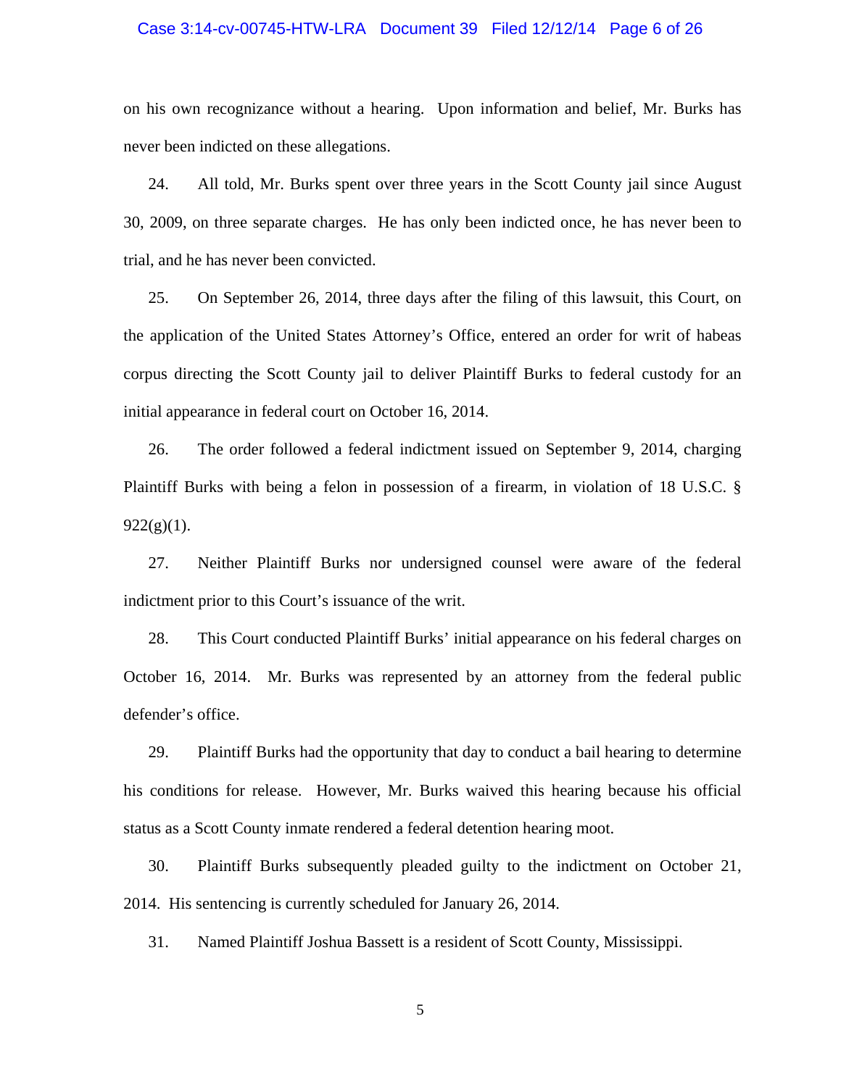#### Case 3:14-cv-00745-HTW-LRA Document 39 Filed 12/12/14 Page 6 of 26

on his own recognizance without a hearing. Upon information and belief, Mr. Burks has never been indicted on these allegations.

24. All told, Mr. Burks spent over three years in the Scott County jail since August 30, 2009, on three separate charges. He has only been indicted once, he has never been to trial, and he has never been convicted.

25. On September 26, 2014, three days after the filing of this lawsuit, this Court, on the application of the United States Attorney's Office, entered an order for writ of habeas corpus directing the Scott County jail to deliver Plaintiff Burks to federal custody for an initial appearance in federal court on October 16, 2014.

26. The order followed a federal indictment issued on September 9, 2014, charging Plaintiff Burks with being a felon in possession of a firearm, in violation of 18 U.S.C. §  $922(g)(1)$ .

27. Neither Plaintiff Burks nor undersigned counsel were aware of the federal indictment prior to this Court's issuance of the writ.

28. This Court conducted Plaintiff Burks' initial appearance on his federal charges on October 16, 2014. Mr. Burks was represented by an attorney from the federal public defender's office.

29. Plaintiff Burks had the opportunity that day to conduct a bail hearing to determine his conditions for release. However, Mr. Burks waived this hearing because his official status as a Scott County inmate rendered a federal detention hearing moot.

30. Plaintiff Burks subsequently pleaded guilty to the indictment on October 21, 2014. His sentencing is currently scheduled for January 26, 2014.

31. Named Plaintiff Joshua Bassett is a resident of Scott County, Mississippi.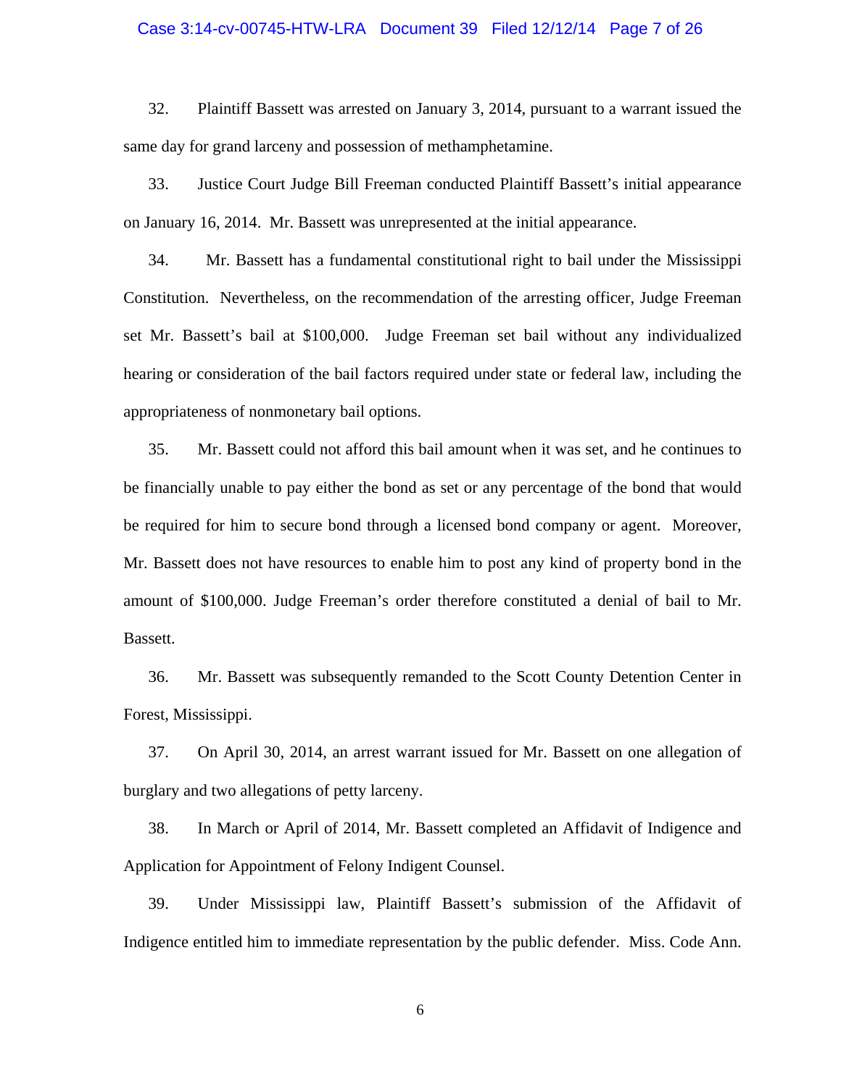## Case 3:14-cv-00745-HTW-LRA Document 39 Filed 12/12/14 Page 7 of 26

32. Plaintiff Bassett was arrested on January 3, 2014, pursuant to a warrant issued the same day for grand larceny and possession of methamphetamine.

33. Justice Court Judge Bill Freeman conducted Plaintiff Bassett's initial appearance on January 16, 2014. Mr. Bassett was unrepresented at the initial appearance.

34. Mr. Bassett has a fundamental constitutional right to bail under the Mississippi Constitution. Nevertheless, on the recommendation of the arresting officer, Judge Freeman set Mr. Bassett's bail at \$100,000. Judge Freeman set bail without any individualized hearing or consideration of the bail factors required under state or federal law, including the appropriateness of nonmonetary bail options.

35. Mr. Bassett could not afford this bail amount when it was set, and he continues to be financially unable to pay either the bond as set or any percentage of the bond that would be required for him to secure bond through a licensed bond company or agent. Moreover, Mr. Bassett does not have resources to enable him to post any kind of property bond in the amount of \$100,000. Judge Freeman's order therefore constituted a denial of bail to Mr. Bassett.

36. Mr. Bassett was subsequently remanded to the Scott County Detention Center in Forest, Mississippi.

37. On April 30, 2014, an arrest warrant issued for Mr. Bassett on one allegation of burglary and two allegations of petty larceny.

38. In March or April of 2014, Mr. Bassett completed an Affidavit of Indigence and Application for Appointment of Felony Indigent Counsel.

39. Under Mississippi law, Plaintiff Bassett's submission of the Affidavit of Indigence entitled him to immediate representation by the public defender. Miss. Code Ann.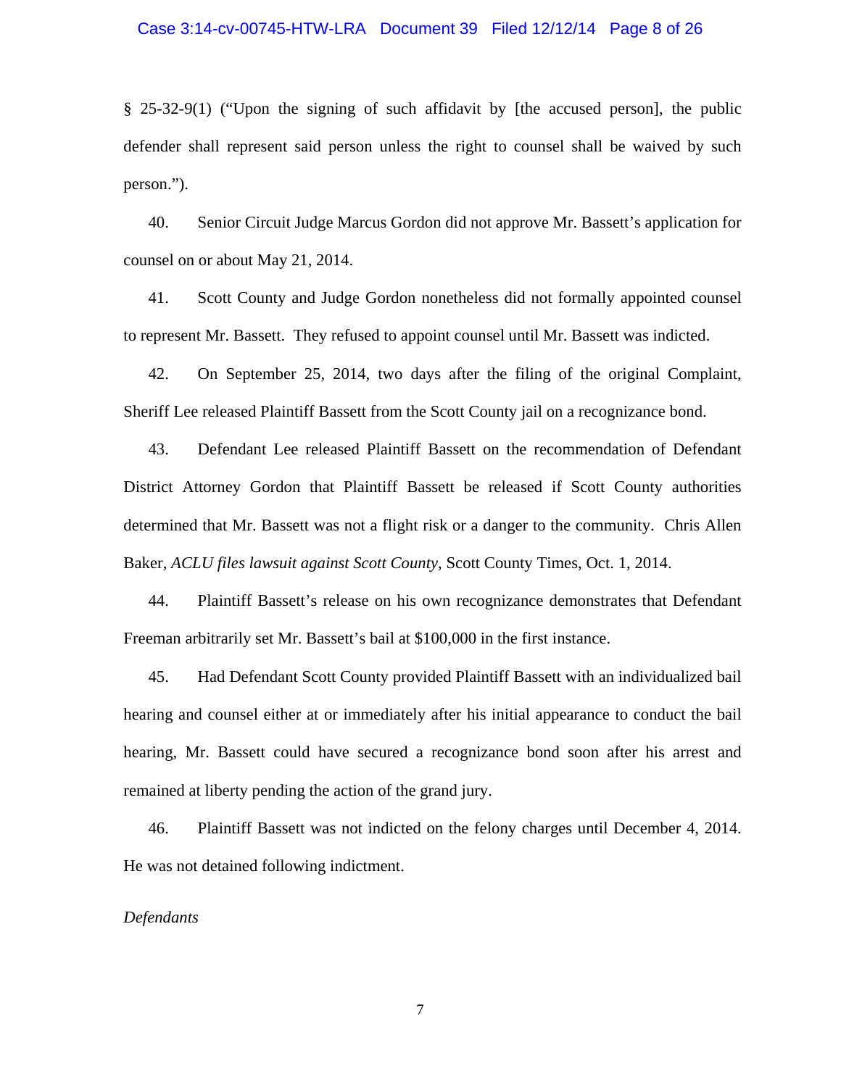#### Case 3:14-cv-00745-HTW-LRA Document 39 Filed 12/12/14 Page 8 of 26

§ 25-32-9(1) ("Upon the signing of such affidavit by [the accused person], the public defender shall represent said person unless the right to counsel shall be waived by such person.").

40. Senior Circuit Judge Marcus Gordon did not approve Mr. Bassett's application for counsel on or about May 21, 2014.

41. Scott County and Judge Gordon nonetheless did not formally appointed counsel to represent Mr. Bassett. They refused to appoint counsel until Mr. Bassett was indicted.

42. On September 25, 2014, two days after the filing of the original Complaint, Sheriff Lee released Plaintiff Bassett from the Scott County jail on a recognizance bond.

43. Defendant Lee released Plaintiff Bassett on the recommendation of Defendant District Attorney Gordon that Plaintiff Bassett be released if Scott County authorities determined that Mr. Bassett was not a flight risk or a danger to the community. Chris Allen Baker, *ACLU files lawsuit against Scott County*, Scott County Times, Oct. 1, 2014.

44. Plaintiff Bassett's release on his own recognizance demonstrates that Defendant Freeman arbitrarily set Mr. Bassett's bail at \$100,000 in the first instance.

45. Had Defendant Scott County provided Plaintiff Bassett with an individualized bail hearing and counsel either at or immediately after his initial appearance to conduct the bail hearing, Mr. Bassett could have secured a recognizance bond soon after his arrest and remained at liberty pending the action of the grand jury.

46. Plaintiff Bassett was not indicted on the felony charges until December 4, 2014. He was not detained following indictment.

## *Defendants*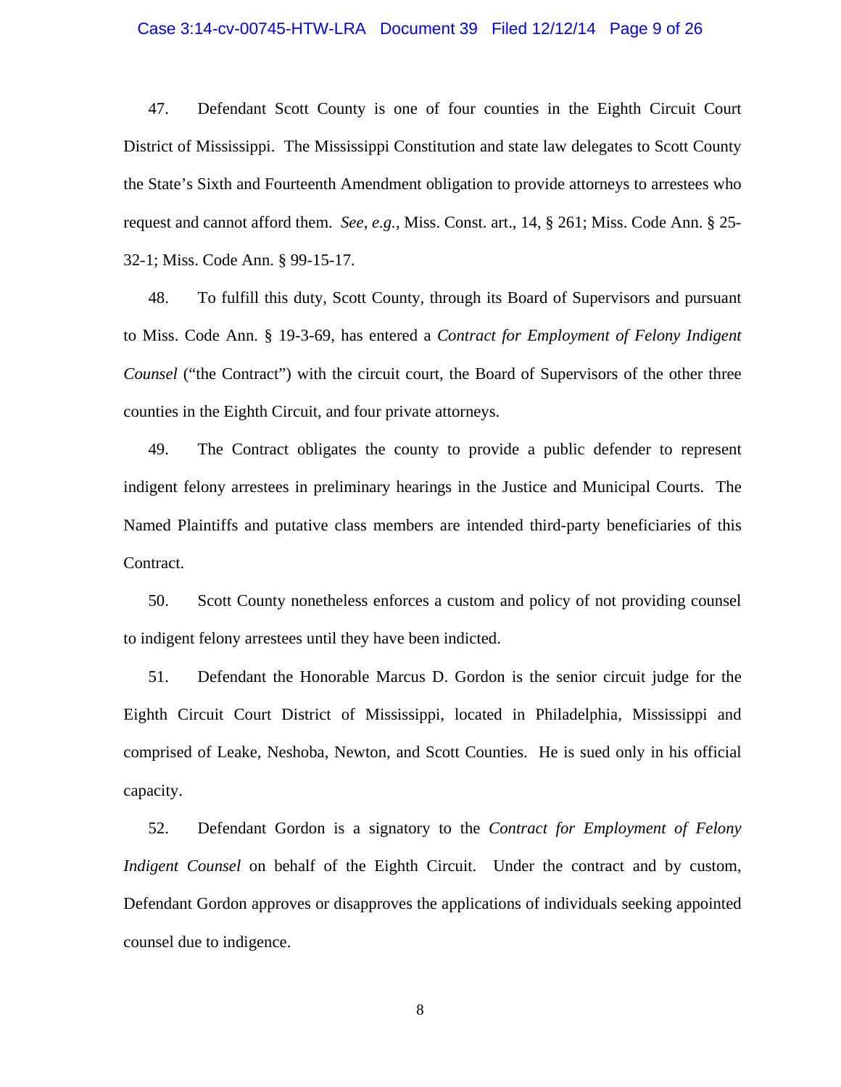#### Case 3:14-cv-00745-HTW-LRA Document 39 Filed 12/12/14 Page 9 of 26

47. Defendant Scott County is one of four counties in the Eighth Circuit Court District of Mississippi. The Mississippi Constitution and state law delegates to Scott County the State's Sixth and Fourteenth Amendment obligation to provide attorneys to arrestees who request and cannot afford them. *See, e.g.*, Miss. Const. art., 14, § 261; Miss. Code Ann. § 25- 32-1; Miss. Code Ann. § 99-15-17.

48. To fulfill this duty, Scott County, through its Board of Supervisors and pursuant to Miss. Code Ann. § 19-3-69, has entered a *Contract for Employment of Felony Indigent Counsel* ("the Contract") with the circuit court, the Board of Supervisors of the other three counties in the Eighth Circuit, and four private attorneys.

49. The Contract obligates the county to provide a public defender to represent indigent felony arrestees in preliminary hearings in the Justice and Municipal Courts. The Named Plaintiffs and putative class members are intended third-party beneficiaries of this Contract.

50. Scott County nonetheless enforces a custom and policy of not providing counsel to indigent felony arrestees until they have been indicted.

51. Defendant the Honorable Marcus D. Gordon is the senior circuit judge for the Eighth Circuit Court District of Mississippi, located in Philadelphia, Mississippi and comprised of Leake, Neshoba, Newton, and Scott Counties. He is sued only in his official capacity.

52. Defendant Gordon is a signatory to the *Contract for Employment of Felony Indigent Counsel* on behalf of the Eighth Circuit. Under the contract and by custom, Defendant Gordon approves or disapproves the applications of individuals seeking appointed counsel due to indigence.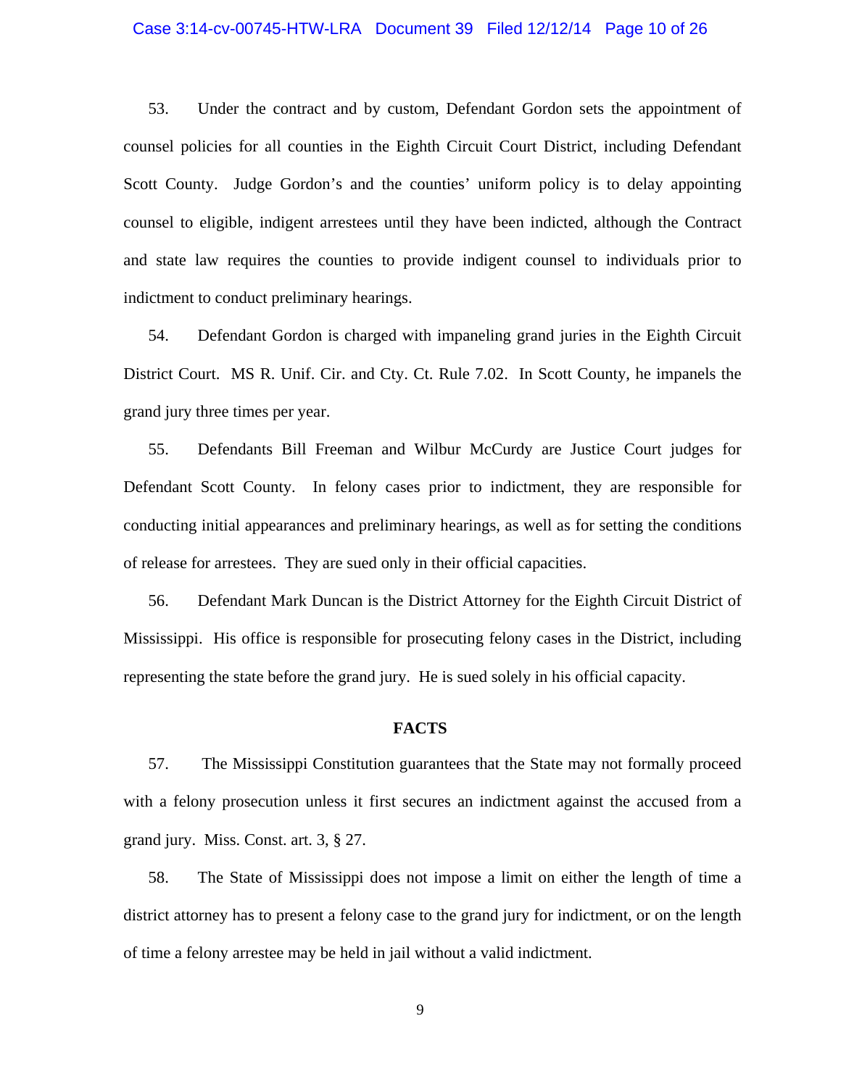#### Case 3:14-cv-00745-HTW-LRA Document 39 Filed 12/12/14 Page 10 of 26

53. Under the contract and by custom, Defendant Gordon sets the appointment of counsel policies for all counties in the Eighth Circuit Court District, including Defendant Scott County. Judge Gordon's and the counties' uniform policy is to delay appointing counsel to eligible, indigent arrestees until they have been indicted, although the Contract and state law requires the counties to provide indigent counsel to individuals prior to indictment to conduct preliminary hearings.

54. Defendant Gordon is charged with impaneling grand juries in the Eighth Circuit District Court. MS R. Unif. Cir. and Cty. Ct. Rule 7.02. In Scott County, he impanels the grand jury three times per year.

55. Defendants Bill Freeman and Wilbur McCurdy are Justice Court judges for Defendant Scott County. In felony cases prior to indictment, they are responsible for conducting initial appearances and preliminary hearings, as well as for setting the conditions of release for arrestees. They are sued only in their official capacities.

56. Defendant Mark Duncan is the District Attorney for the Eighth Circuit District of Mississippi. His office is responsible for prosecuting felony cases in the District, including representing the state before the grand jury. He is sued solely in his official capacity.

#### **FACTS**

57. The Mississippi Constitution guarantees that the State may not formally proceed with a felony prosecution unless it first secures an indictment against the accused from a grand jury. Miss. Const. art. 3, § 27.

58. The State of Mississippi does not impose a limit on either the length of time a district attorney has to present a felony case to the grand jury for indictment, or on the length of time a felony arrestee may be held in jail without a valid indictment.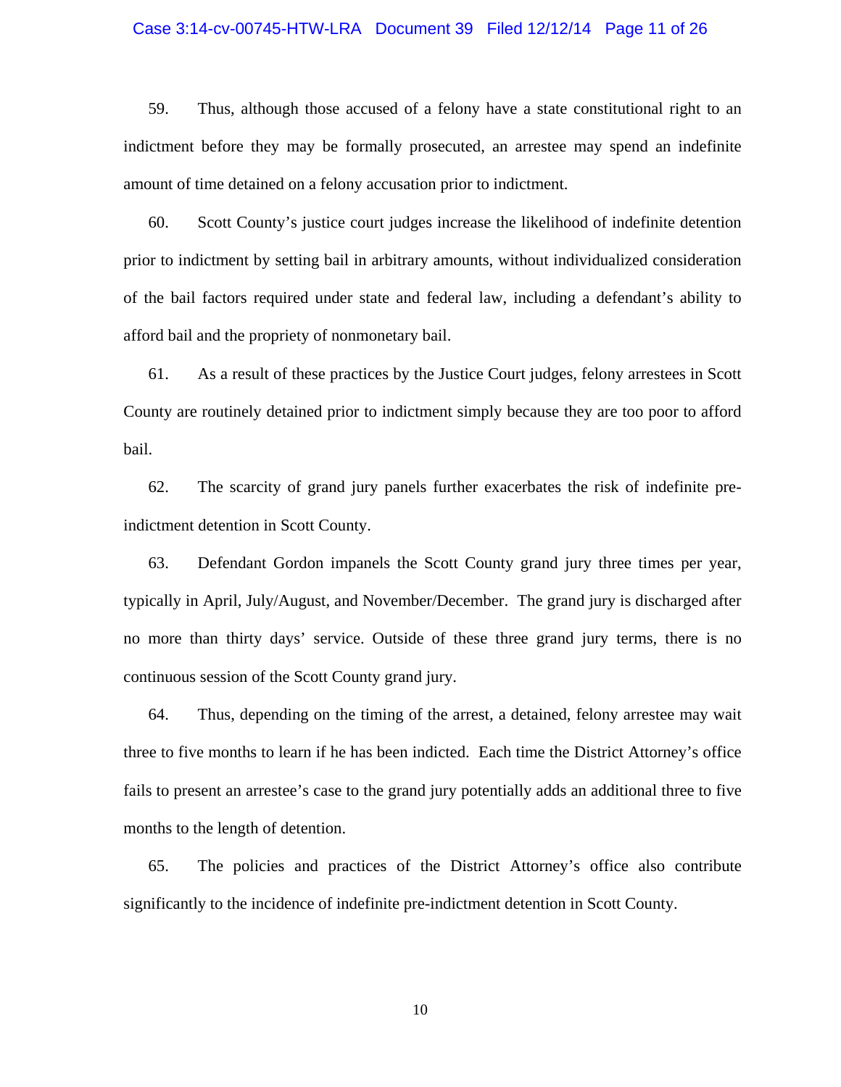#### Case 3:14-cv-00745-HTW-LRA Document 39 Filed 12/12/14 Page 11 of 26

59. Thus, although those accused of a felony have a state constitutional right to an indictment before they may be formally prosecuted, an arrestee may spend an indefinite amount of time detained on a felony accusation prior to indictment.

60. Scott County's justice court judges increase the likelihood of indefinite detention prior to indictment by setting bail in arbitrary amounts, without individualized consideration of the bail factors required under state and federal law, including a defendant's ability to afford bail and the propriety of nonmonetary bail.

61. As a result of these practices by the Justice Court judges, felony arrestees in Scott County are routinely detained prior to indictment simply because they are too poor to afford bail.

62. The scarcity of grand jury panels further exacerbates the risk of indefinite preindictment detention in Scott County.

63. Defendant Gordon impanels the Scott County grand jury three times per year, typically in April, July/August, and November/December. The grand jury is discharged after no more than thirty days' service. Outside of these three grand jury terms, there is no continuous session of the Scott County grand jury.

64. Thus, depending on the timing of the arrest, a detained, felony arrestee may wait three to five months to learn if he has been indicted. Each time the District Attorney's office fails to present an arrestee's case to the grand jury potentially adds an additional three to five months to the length of detention.

65. The policies and practices of the District Attorney's office also contribute significantly to the incidence of indefinite pre-indictment detention in Scott County.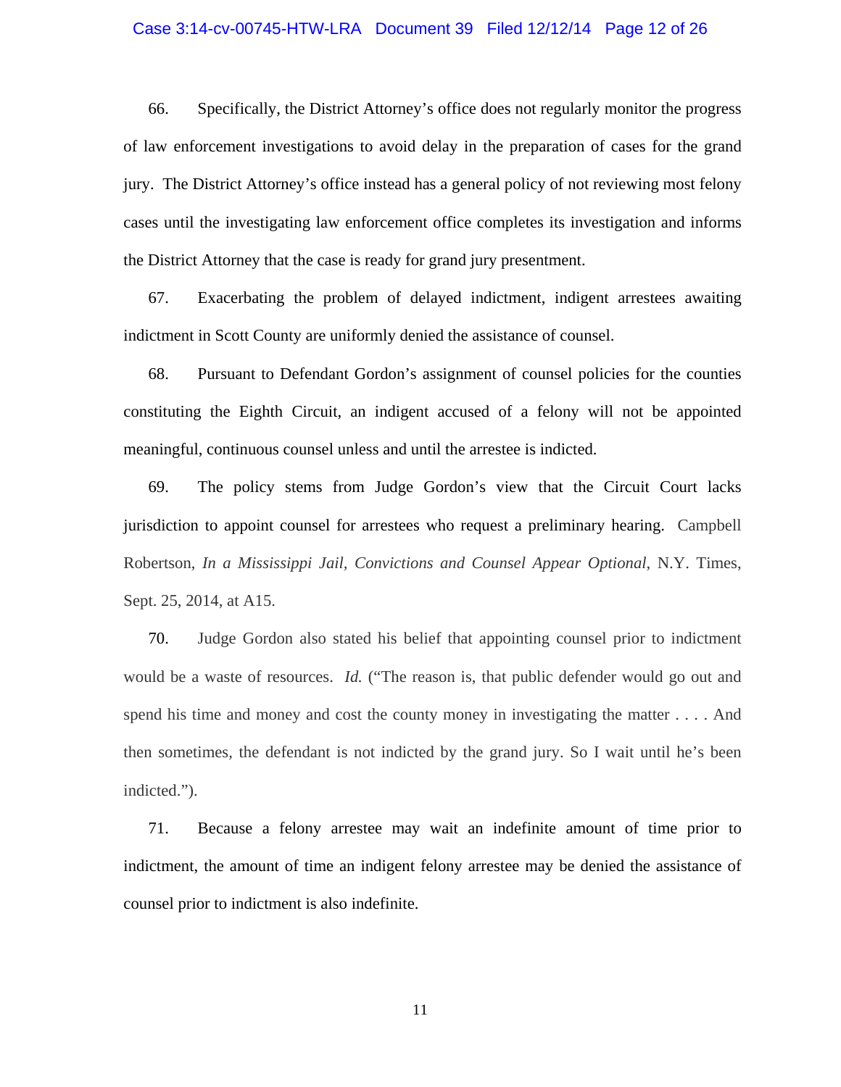#### Case 3:14-cv-00745-HTW-LRA Document 39 Filed 12/12/14 Page 12 of 26

66. Specifically, the District Attorney's office does not regularly monitor the progress of law enforcement investigations to avoid delay in the preparation of cases for the grand jury. The District Attorney's office instead has a general policy of not reviewing most felony cases until the investigating law enforcement office completes its investigation and informs the District Attorney that the case is ready for grand jury presentment.

67. Exacerbating the problem of delayed indictment, indigent arrestees awaiting indictment in Scott County are uniformly denied the assistance of counsel.

68. Pursuant to Defendant Gordon's assignment of counsel policies for the counties constituting the Eighth Circuit, an indigent accused of a felony will not be appointed meaningful, continuous counsel unless and until the arrestee is indicted.

69. The policy stems from Judge Gordon's view that the Circuit Court lacks jurisdiction to appoint counsel for arrestees who request a preliminary hearing. Campbell Robertson, *In a Mississippi Jail, Convictions and Counsel Appear Optional*, N.Y. Times, Sept. 25, 2014, at A15.

70. Judge Gordon also stated his belief that appointing counsel prior to indictment would be a waste of resources. *Id.* ("The reason is, that public defender would go out and spend his time and money and cost the county money in investigating the matter . . . . And then sometimes, the defendant is not indicted by the grand jury. So I wait until he's been indicted.").

71. Because a felony arrestee may wait an indefinite amount of time prior to indictment, the amount of time an indigent felony arrestee may be denied the assistance of counsel prior to indictment is also indefinite.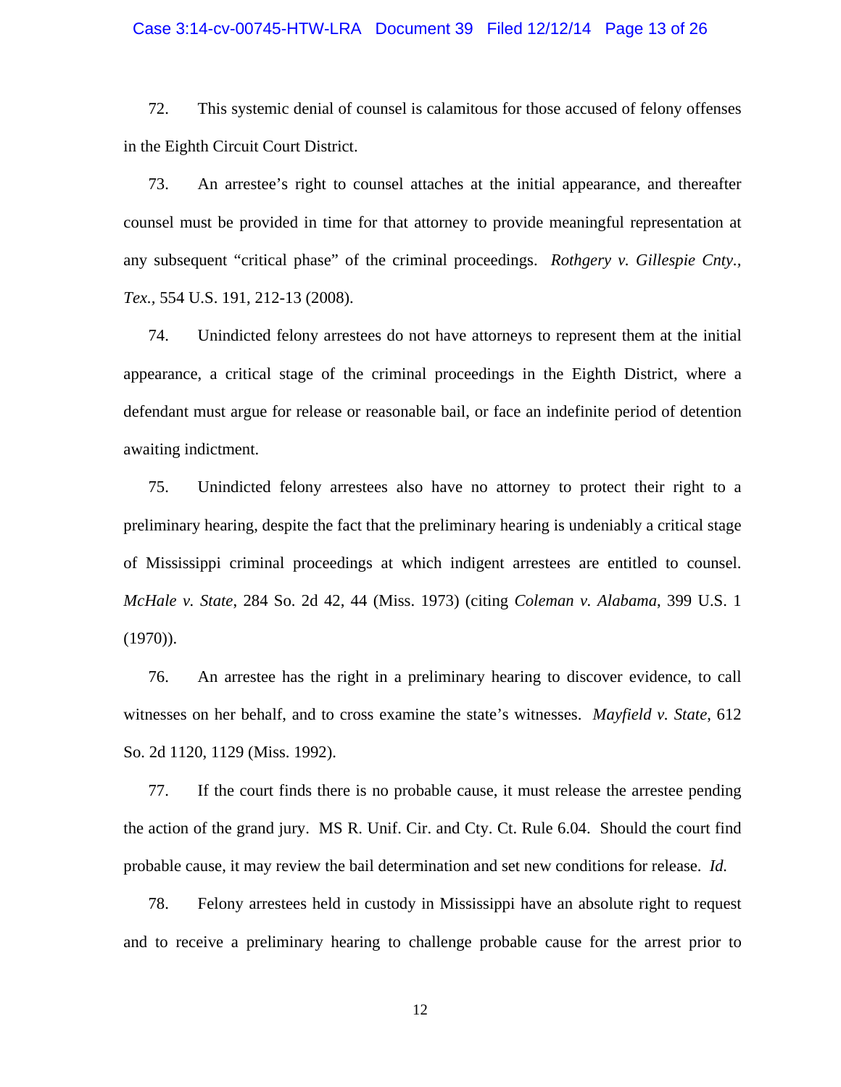#### Case 3:14-cv-00745-HTW-LRA Document 39 Filed 12/12/14 Page 13 of 26

72. This systemic denial of counsel is calamitous for those accused of felony offenses in the Eighth Circuit Court District.

73. An arrestee's right to counsel attaches at the initial appearance, and thereafter counsel must be provided in time for that attorney to provide meaningful representation at any subsequent "critical phase" of the criminal proceedings. *Rothgery v. Gillespie Cnty., Tex.,* 554 U.S. 191, 212-13 (2008).

74. Unindicted felony arrestees do not have attorneys to represent them at the initial appearance, a critical stage of the criminal proceedings in the Eighth District, where a defendant must argue for release or reasonable bail, or face an indefinite period of detention awaiting indictment.

75. Unindicted felony arrestees also have no attorney to protect their right to a preliminary hearing, despite the fact that the preliminary hearing is undeniably a critical stage of Mississippi criminal proceedings at which indigent arrestees are entitled to counsel. *McHale v. State*, 284 So. 2d 42, 44 (Miss. 1973) (citing *Coleman v. Alabama*, 399 U.S. 1 (1970)).

76. An arrestee has the right in a preliminary hearing to discover evidence, to call witnesses on her behalf, and to cross examine the state's witnesses. *Mayfield v. State*, 612 So. 2d 1120, 1129 (Miss. 1992).

77. If the court finds there is no probable cause, it must release the arrestee pending the action of the grand jury. MS R. Unif. Cir. and Cty. Ct. Rule 6.04. Should the court find probable cause, it may review the bail determination and set new conditions for release. *Id.*

78. Felony arrestees held in custody in Mississippi have an absolute right to request and to receive a preliminary hearing to challenge probable cause for the arrest prior to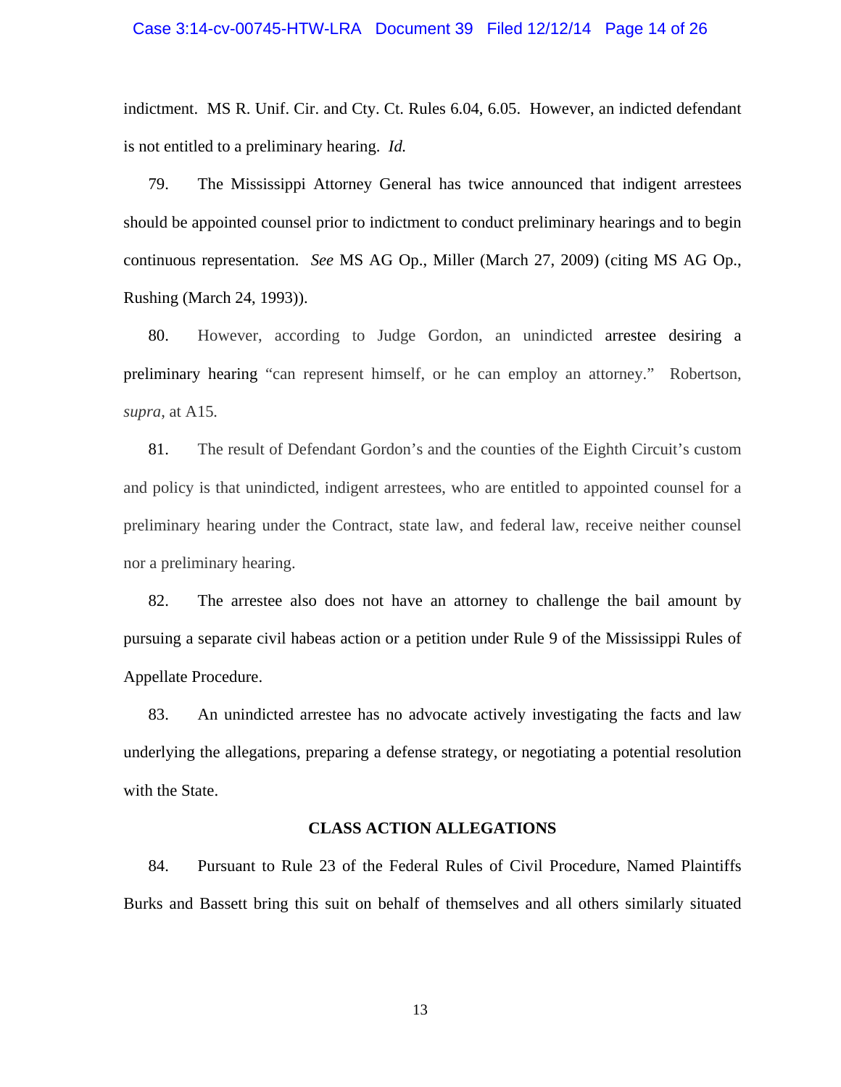#### Case 3:14-cv-00745-HTW-LRA Document 39 Filed 12/12/14 Page 14 of 26

indictment. MS R. Unif. Cir. and Cty. Ct. Rules 6.04, 6.05. However, an indicted defendant is not entitled to a preliminary hearing. *Id.*

79. The Mississippi Attorney General has twice announced that indigent arrestees should be appointed counsel prior to indictment to conduct preliminary hearings and to begin continuous representation. *See* MS AG Op., Miller (March 27, 2009) (citing MS AG Op., Rushing (March 24, 1993)).

80. However, according to Judge Gordon, an unindicted arrestee desiring a preliminary hearing "can represent himself, or he can employ an attorney." Robertson, *supra*, at A15*.*

81. The result of Defendant Gordon's and the counties of the Eighth Circuit's custom and policy is that unindicted, indigent arrestees, who are entitled to appointed counsel for a preliminary hearing under the Contract, state law, and federal law, receive neither counsel nor a preliminary hearing.

82. The arrestee also does not have an attorney to challenge the bail amount by pursuing a separate civil habeas action or a petition under Rule 9 of the Mississippi Rules of Appellate Procedure.

83. An unindicted arrestee has no advocate actively investigating the facts and law underlying the allegations, preparing a defense strategy, or negotiating a potential resolution with the State.

## **CLASS ACTION ALLEGATIONS**

84. Pursuant to Rule 23 of the Federal Rules of Civil Procedure, Named Plaintiffs Burks and Bassett bring this suit on behalf of themselves and all others similarly situated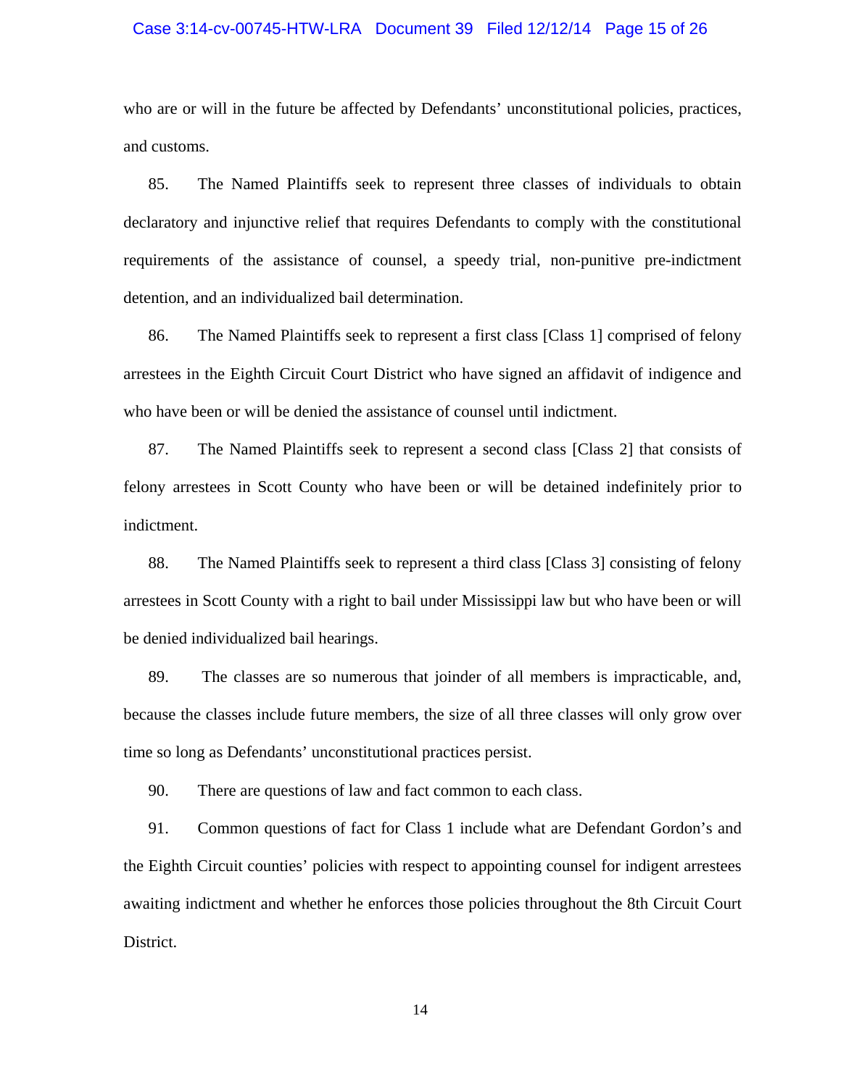#### Case 3:14-cv-00745-HTW-LRA Document 39 Filed 12/12/14 Page 15 of 26

who are or will in the future be affected by Defendants' unconstitutional policies, practices, and customs.

85. The Named Plaintiffs seek to represent three classes of individuals to obtain declaratory and injunctive relief that requires Defendants to comply with the constitutional requirements of the assistance of counsel, a speedy trial, non-punitive pre-indictment detention, and an individualized bail determination.

86. The Named Plaintiffs seek to represent a first class [Class 1] comprised of felony arrestees in the Eighth Circuit Court District who have signed an affidavit of indigence and who have been or will be denied the assistance of counsel until indictment.

87. The Named Plaintiffs seek to represent a second class [Class 2] that consists of felony arrestees in Scott County who have been or will be detained indefinitely prior to indictment.

88. The Named Plaintiffs seek to represent a third class [Class 3] consisting of felony arrestees in Scott County with a right to bail under Mississippi law but who have been or will be denied individualized bail hearings.

89. The classes are so numerous that joinder of all members is impracticable, and, because the classes include future members, the size of all three classes will only grow over time so long as Defendants' unconstitutional practices persist.

90. There are questions of law and fact common to each class.

91. Common questions of fact for Class 1 include what are Defendant Gordon's and the Eighth Circuit counties' policies with respect to appointing counsel for indigent arrestees awaiting indictment and whether he enforces those policies throughout the 8th Circuit Court District.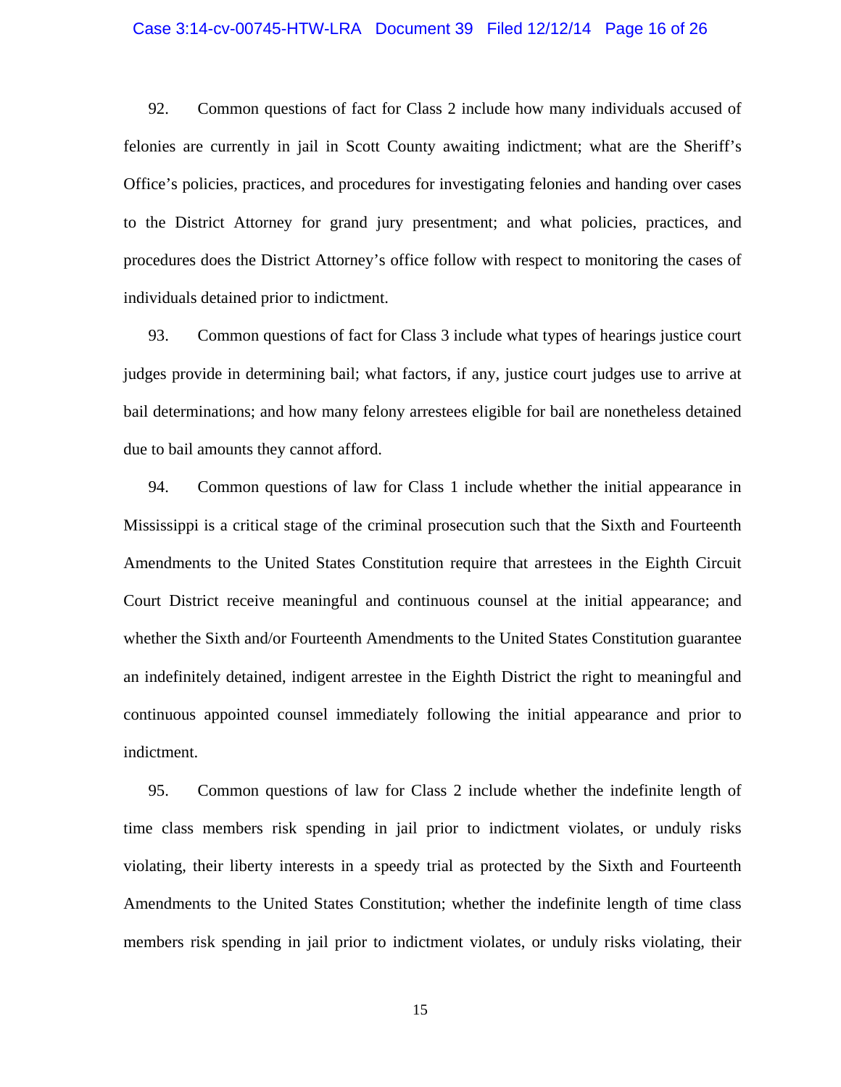#### Case 3:14-cv-00745-HTW-LRA Document 39 Filed 12/12/14 Page 16 of 26

92. Common questions of fact for Class 2 include how many individuals accused of felonies are currently in jail in Scott County awaiting indictment; what are the Sheriff's Office's policies, practices, and procedures for investigating felonies and handing over cases to the District Attorney for grand jury presentment; and what policies, practices, and procedures does the District Attorney's office follow with respect to monitoring the cases of individuals detained prior to indictment.

93. Common questions of fact for Class 3 include what types of hearings justice court judges provide in determining bail; what factors, if any, justice court judges use to arrive at bail determinations; and how many felony arrestees eligible for bail are nonetheless detained due to bail amounts they cannot afford.

94. Common questions of law for Class 1 include whether the initial appearance in Mississippi is a critical stage of the criminal prosecution such that the Sixth and Fourteenth Amendments to the United States Constitution require that arrestees in the Eighth Circuit Court District receive meaningful and continuous counsel at the initial appearance; and whether the Sixth and/or Fourteenth Amendments to the United States Constitution guarantee an indefinitely detained, indigent arrestee in the Eighth District the right to meaningful and continuous appointed counsel immediately following the initial appearance and prior to indictment.

95. Common questions of law for Class 2 include whether the indefinite length of time class members risk spending in jail prior to indictment violates, or unduly risks violating, their liberty interests in a speedy trial as protected by the Sixth and Fourteenth Amendments to the United States Constitution; whether the indefinite length of time class members risk spending in jail prior to indictment violates, or unduly risks violating, their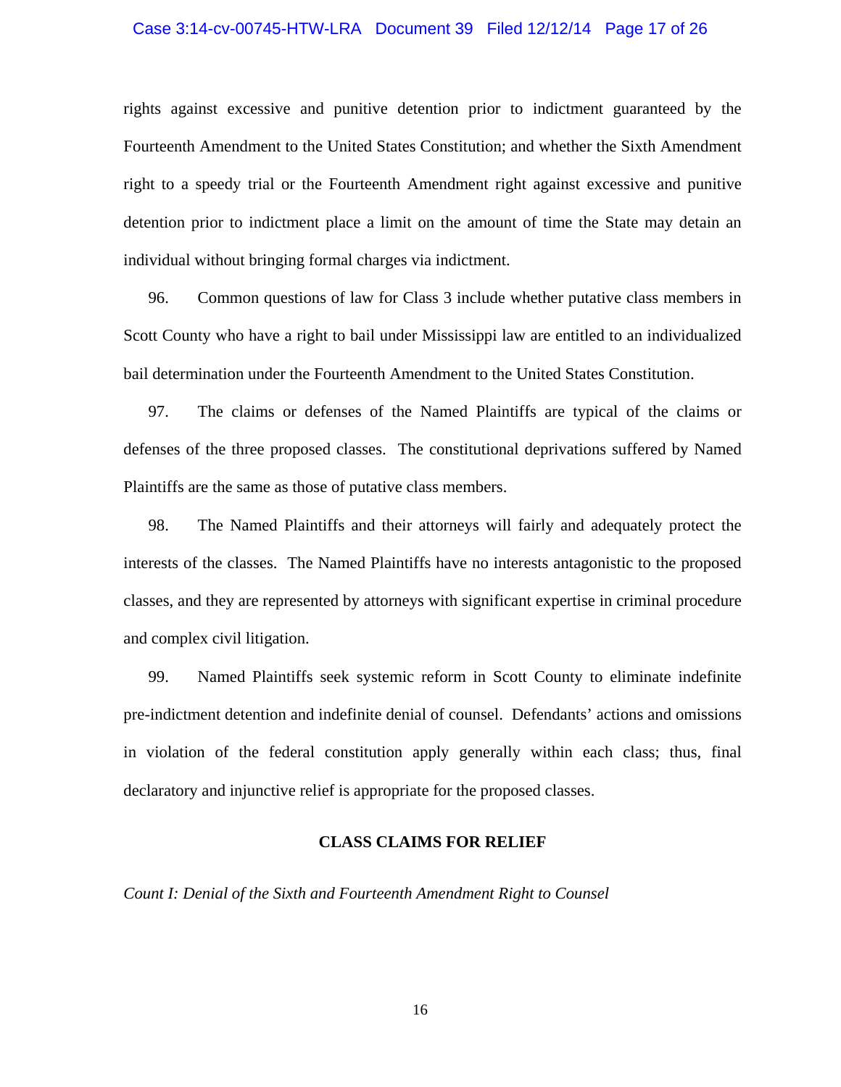#### Case 3:14-cv-00745-HTW-LRA Document 39 Filed 12/12/14 Page 17 of 26

rights against excessive and punitive detention prior to indictment guaranteed by the Fourteenth Amendment to the United States Constitution; and whether the Sixth Amendment right to a speedy trial or the Fourteenth Amendment right against excessive and punitive detention prior to indictment place a limit on the amount of time the State may detain an individual without bringing formal charges via indictment.

96. Common questions of law for Class 3 include whether putative class members in Scott County who have a right to bail under Mississippi law are entitled to an individualized bail determination under the Fourteenth Amendment to the United States Constitution.

97. The claims or defenses of the Named Plaintiffs are typical of the claims or defenses of the three proposed classes. The constitutional deprivations suffered by Named Plaintiffs are the same as those of putative class members.

98. The Named Plaintiffs and their attorneys will fairly and adequately protect the interests of the classes. The Named Plaintiffs have no interests antagonistic to the proposed classes, and they are represented by attorneys with significant expertise in criminal procedure and complex civil litigation.

99. Named Plaintiffs seek systemic reform in Scott County to eliminate indefinite pre-indictment detention and indefinite denial of counsel. Defendants' actions and omissions in violation of the federal constitution apply generally within each class; thus, final declaratory and injunctive relief is appropriate for the proposed classes.

## **CLASS CLAIMS FOR RELIEF**

*Count I: Denial of the Sixth and Fourteenth Amendment Right to Counsel*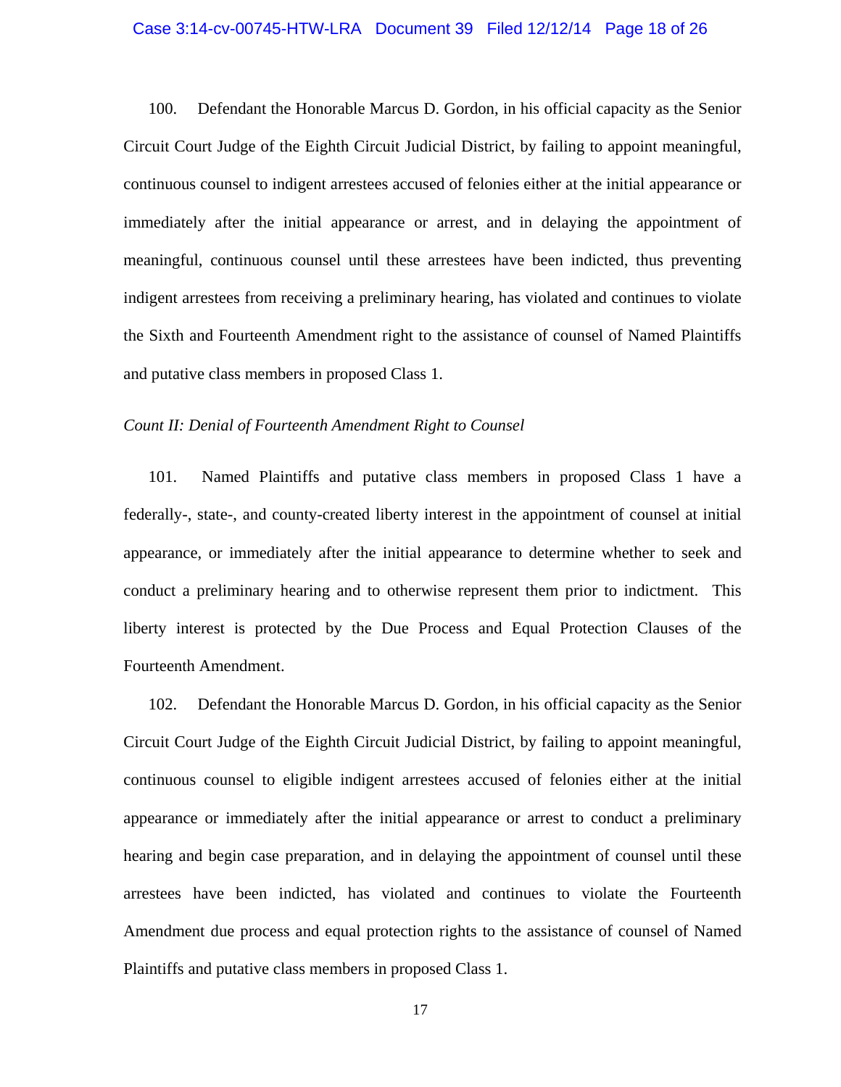## Case 3:14-cv-00745-HTW-LRA Document 39 Filed 12/12/14 Page 18 of 26

100. Defendant the Honorable Marcus D. Gordon, in his official capacity as the Senior Circuit Court Judge of the Eighth Circuit Judicial District, by failing to appoint meaningful, continuous counsel to indigent arrestees accused of felonies either at the initial appearance or immediately after the initial appearance or arrest, and in delaying the appointment of meaningful, continuous counsel until these arrestees have been indicted, thus preventing indigent arrestees from receiving a preliminary hearing, has violated and continues to violate the Sixth and Fourteenth Amendment right to the assistance of counsel of Named Plaintiffs and putative class members in proposed Class 1.

## *Count II: Denial of Fourteenth Amendment Right to Counsel*

101. Named Plaintiffs and putative class members in proposed Class 1 have a federally-, state-, and county-created liberty interest in the appointment of counsel at initial appearance, or immediately after the initial appearance to determine whether to seek and conduct a preliminary hearing and to otherwise represent them prior to indictment. This liberty interest is protected by the Due Process and Equal Protection Clauses of the Fourteenth Amendment.

102. Defendant the Honorable Marcus D. Gordon, in his official capacity as the Senior Circuit Court Judge of the Eighth Circuit Judicial District, by failing to appoint meaningful, continuous counsel to eligible indigent arrestees accused of felonies either at the initial appearance or immediately after the initial appearance or arrest to conduct a preliminary hearing and begin case preparation, and in delaying the appointment of counsel until these arrestees have been indicted, has violated and continues to violate the Fourteenth Amendment due process and equal protection rights to the assistance of counsel of Named Plaintiffs and putative class members in proposed Class 1.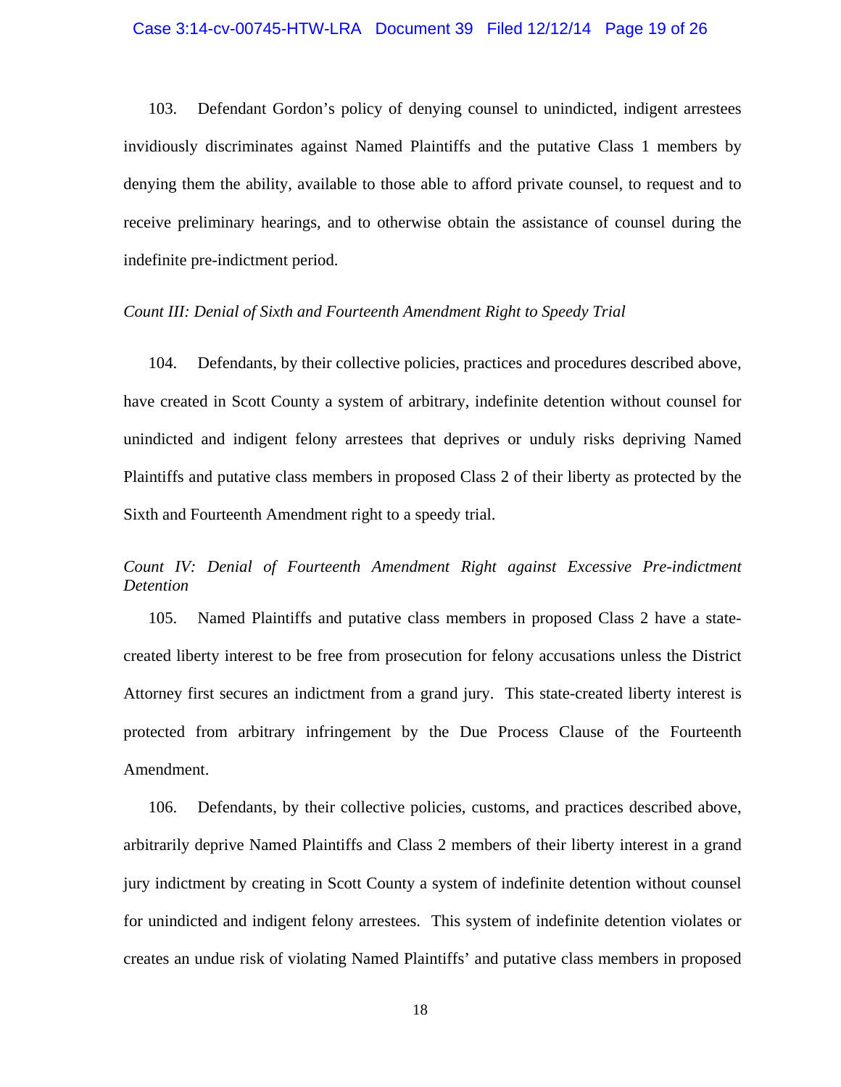## Case 3:14-cv-00745-HTW-LRA Document 39 Filed 12/12/14 Page 19 of 26

103. Defendant Gordon's policy of denying counsel to unindicted, indigent arrestees invidiously discriminates against Named Plaintiffs and the putative Class 1 members by denying them the ability, available to those able to afford private counsel, to request and to receive preliminary hearings, and to otherwise obtain the assistance of counsel during the indefinite pre-indictment period.

## *Count III: Denial of Sixth and Fourteenth Amendment Right to Speedy Trial*

104. Defendants, by their collective policies, practices and procedures described above, have created in Scott County a system of arbitrary, indefinite detention without counsel for unindicted and indigent felony arrestees that deprives or unduly risks depriving Named Plaintiffs and putative class members in proposed Class 2 of their liberty as protected by the Sixth and Fourteenth Amendment right to a speedy trial.

## *Count IV: Denial of Fourteenth Amendment Right against Excessive Pre-indictment Detention*

105. Named Plaintiffs and putative class members in proposed Class 2 have a statecreated liberty interest to be free from prosecution for felony accusations unless the District Attorney first secures an indictment from a grand jury. This state-created liberty interest is protected from arbitrary infringement by the Due Process Clause of the Fourteenth Amendment.

106. Defendants, by their collective policies, customs, and practices described above, arbitrarily deprive Named Plaintiffs and Class 2 members of their liberty interest in a grand jury indictment by creating in Scott County a system of indefinite detention without counsel for unindicted and indigent felony arrestees. This system of indefinite detention violates or creates an undue risk of violating Named Plaintiffs' and putative class members in proposed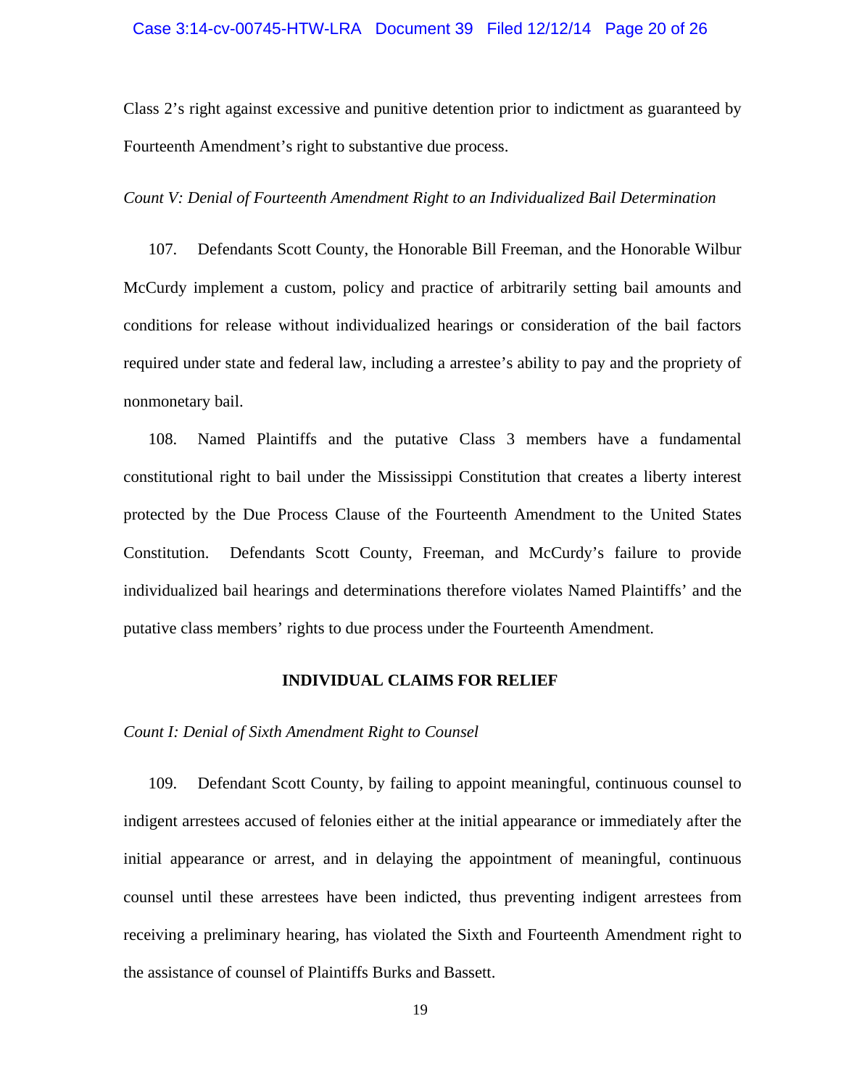## Case 3:14-cv-00745-HTW-LRA Document 39 Filed 12/12/14 Page 20 of 26

Class 2's right against excessive and punitive detention prior to indictment as guaranteed by Fourteenth Amendment's right to substantive due process.

## *Count V: Denial of Fourteenth Amendment Right to an Individualized Bail Determination*

107. Defendants Scott County, the Honorable Bill Freeman, and the Honorable Wilbur McCurdy implement a custom, policy and practice of arbitrarily setting bail amounts and conditions for release without individualized hearings or consideration of the bail factors required under state and federal law, including a arrestee's ability to pay and the propriety of nonmonetary bail.

108. Named Plaintiffs and the putative Class 3 members have a fundamental constitutional right to bail under the Mississippi Constitution that creates a liberty interest protected by the Due Process Clause of the Fourteenth Amendment to the United States Constitution. Defendants Scott County, Freeman, and McCurdy's failure to provide individualized bail hearings and determinations therefore violates Named Plaintiffs' and the putative class members' rights to due process under the Fourteenth Amendment.

### **INDIVIDUAL CLAIMS FOR RELIEF**

*Count I: Denial of Sixth Amendment Right to Counsel* 

109. Defendant Scott County, by failing to appoint meaningful, continuous counsel to indigent arrestees accused of felonies either at the initial appearance or immediately after the initial appearance or arrest, and in delaying the appointment of meaningful, continuous counsel until these arrestees have been indicted, thus preventing indigent arrestees from receiving a preliminary hearing, has violated the Sixth and Fourteenth Amendment right to the assistance of counsel of Plaintiffs Burks and Bassett.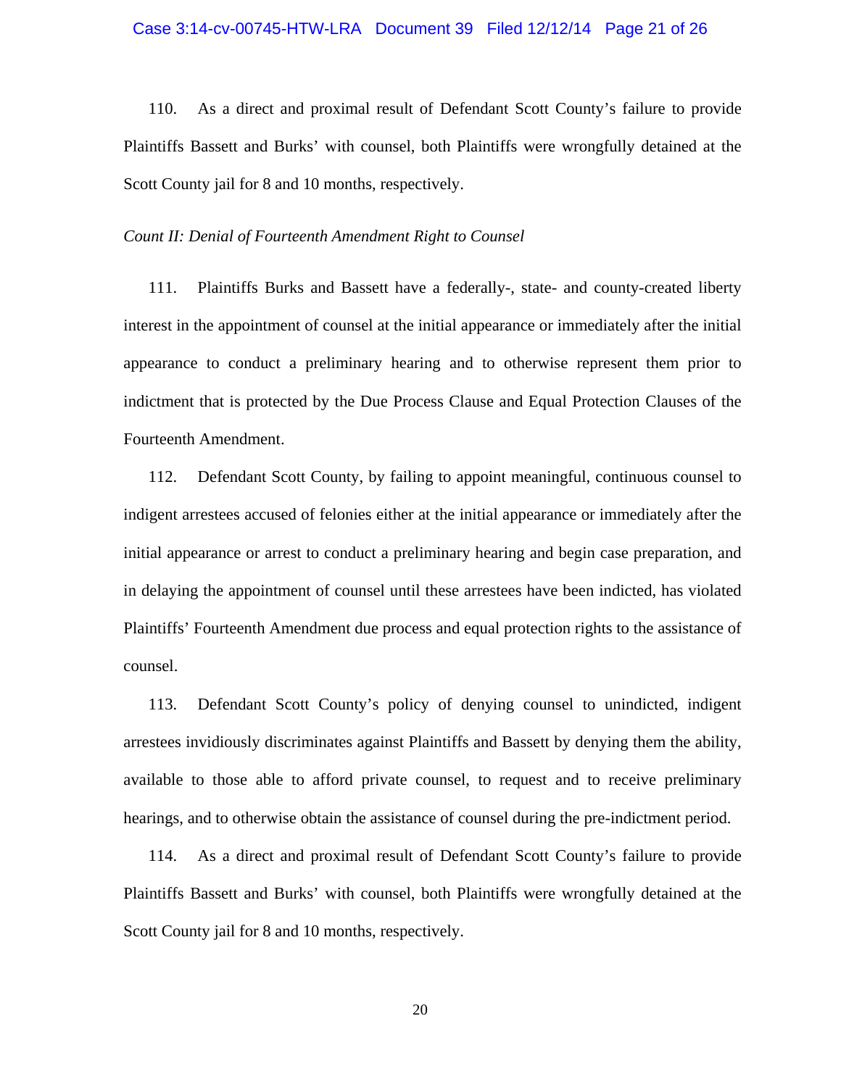#### Case 3:14-cv-00745-HTW-LRA Document 39 Filed 12/12/14 Page 21 of 26

110. As a direct and proximal result of Defendant Scott County's failure to provide Plaintiffs Bassett and Burks' with counsel, both Plaintiffs were wrongfully detained at the Scott County jail for 8 and 10 months, respectively.

## *Count II: Denial of Fourteenth Amendment Right to Counsel*

111. Plaintiffs Burks and Bassett have a federally-, state- and county-created liberty interest in the appointment of counsel at the initial appearance or immediately after the initial appearance to conduct a preliminary hearing and to otherwise represent them prior to indictment that is protected by the Due Process Clause and Equal Protection Clauses of the Fourteenth Amendment.

112. Defendant Scott County, by failing to appoint meaningful, continuous counsel to indigent arrestees accused of felonies either at the initial appearance or immediately after the initial appearance or arrest to conduct a preliminary hearing and begin case preparation, and in delaying the appointment of counsel until these arrestees have been indicted, has violated Plaintiffs' Fourteenth Amendment due process and equal protection rights to the assistance of counsel.

113. Defendant Scott County's policy of denying counsel to unindicted, indigent arrestees invidiously discriminates against Plaintiffs and Bassett by denying them the ability, available to those able to afford private counsel, to request and to receive preliminary hearings, and to otherwise obtain the assistance of counsel during the pre-indictment period.

114. As a direct and proximal result of Defendant Scott County's failure to provide Plaintiffs Bassett and Burks' with counsel, both Plaintiffs were wrongfully detained at the Scott County jail for 8 and 10 months, respectively.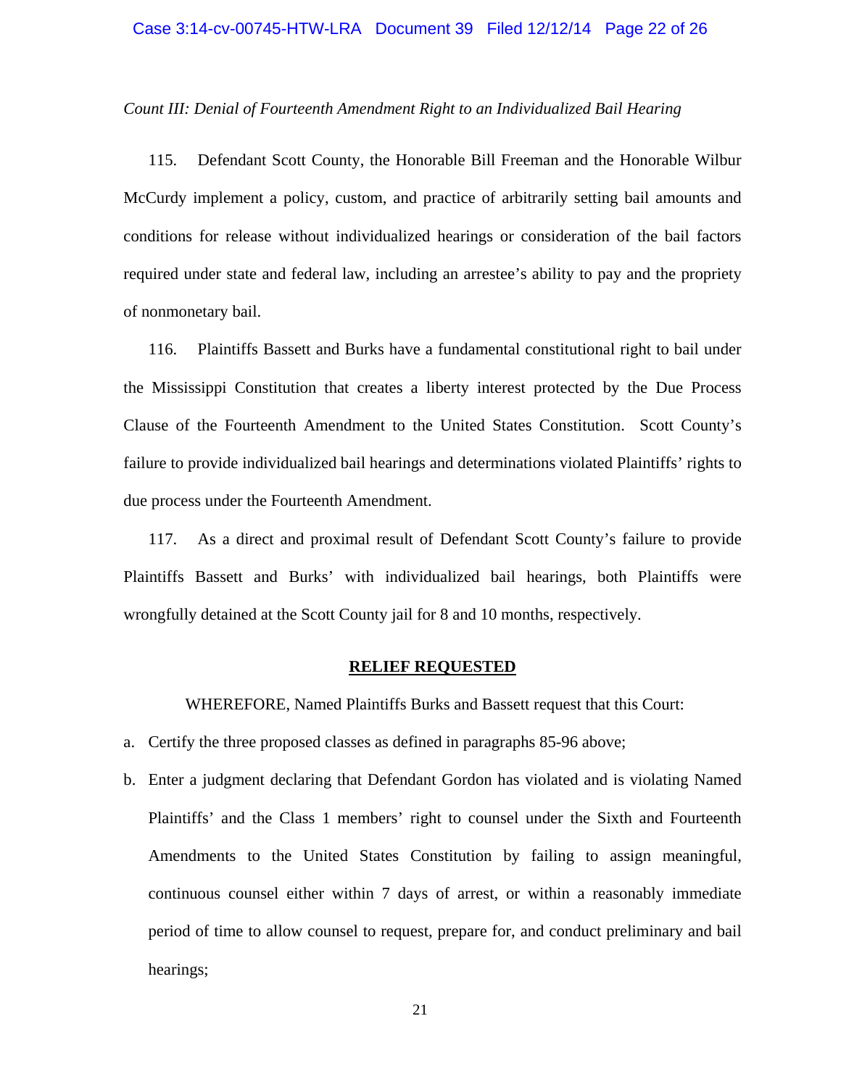#### Case 3:14-cv-00745-HTW-LRA Document 39 Filed 12/12/14 Page 22 of 26

### *Count III: Denial of Fourteenth Amendment Right to an Individualized Bail Hearing*

115. Defendant Scott County, the Honorable Bill Freeman and the Honorable Wilbur McCurdy implement a policy, custom, and practice of arbitrarily setting bail amounts and conditions for release without individualized hearings or consideration of the bail factors required under state and federal law, including an arrestee's ability to pay and the propriety of nonmonetary bail.

116. Plaintiffs Bassett and Burks have a fundamental constitutional right to bail under the Mississippi Constitution that creates a liberty interest protected by the Due Process Clause of the Fourteenth Amendment to the United States Constitution. Scott County's failure to provide individualized bail hearings and determinations violated Plaintiffs' rights to due process under the Fourteenth Amendment.

117. As a direct and proximal result of Defendant Scott County's failure to provide Plaintiffs Bassett and Burks' with individualized bail hearings, both Plaintiffs were wrongfully detained at the Scott County jail for 8 and 10 months, respectively.

## **RELIEF REQUESTED**

WHEREFORE, Named Plaintiffs Burks and Bassett request that this Court:

- a. Certify the three proposed classes as defined in paragraphs 85-96 above;
- b. Enter a judgment declaring that Defendant Gordon has violated and is violating Named Plaintiffs' and the Class 1 members' right to counsel under the Sixth and Fourteenth Amendments to the United States Constitution by failing to assign meaningful, continuous counsel either within 7 days of arrest, or within a reasonably immediate period of time to allow counsel to request, prepare for, and conduct preliminary and bail hearings;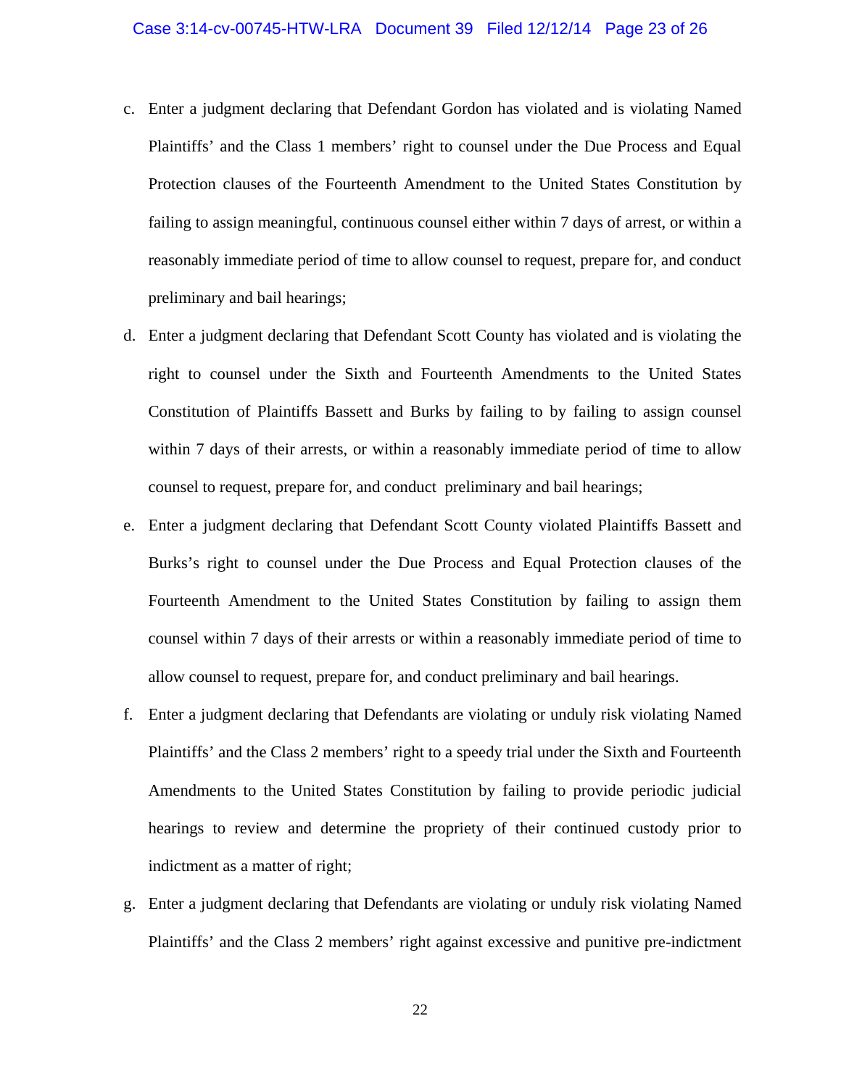- c. Enter a judgment declaring that Defendant Gordon has violated and is violating Named Plaintiffs' and the Class 1 members' right to counsel under the Due Process and Equal Protection clauses of the Fourteenth Amendment to the United States Constitution by failing to assign meaningful, continuous counsel either within 7 days of arrest, or within a reasonably immediate period of time to allow counsel to request, prepare for, and conduct preliminary and bail hearings;
- d. Enter a judgment declaring that Defendant Scott County has violated and is violating the right to counsel under the Sixth and Fourteenth Amendments to the United States Constitution of Plaintiffs Bassett and Burks by failing to by failing to assign counsel within 7 days of their arrests, or within a reasonably immediate period of time to allow counsel to request, prepare for, and conduct preliminary and bail hearings;
- e. Enter a judgment declaring that Defendant Scott County violated Plaintiffs Bassett and Burks's right to counsel under the Due Process and Equal Protection clauses of the Fourteenth Amendment to the United States Constitution by failing to assign them counsel within 7 days of their arrests or within a reasonably immediate period of time to allow counsel to request, prepare for, and conduct preliminary and bail hearings.
- f. Enter a judgment declaring that Defendants are violating or unduly risk violating Named Plaintiffs' and the Class 2 members' right to a speedy trial under the Sixth and Fourteenth Amendments to the United States Constitution by failing to provide periodic judicial hearings to review and determine the propriety of their continued custody prior to indictment as a matter of right;
- g. Enter a judgment declaring that Defendants are violating or unduly risk violating Named Plaintiffs' and the Class 2 members' right against excessive and punitive pre-indictment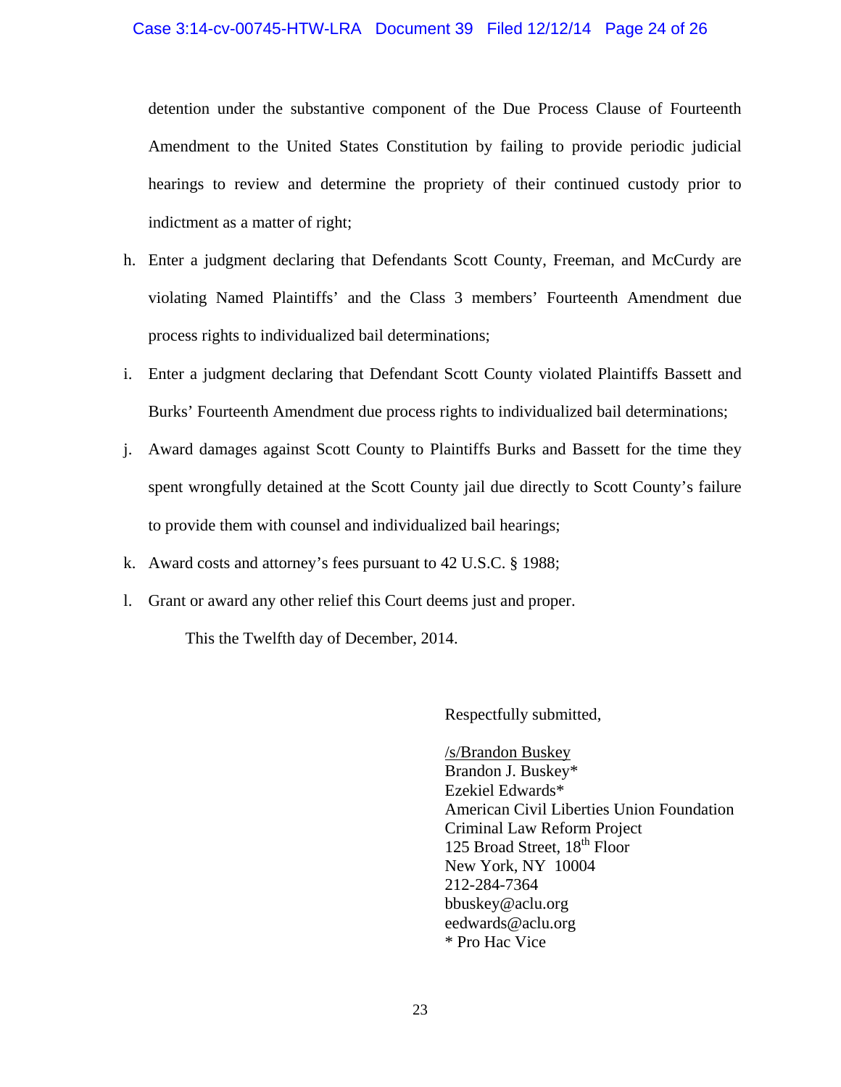## Case 3:14-cv-00745-HTW-LRA Document 39 Filed 12/12/14 Page 24 of 26

detention under the substantive component of the Due Process Clause of Fourteenth Amendment to the United States Constitution by failing to provide periodic judicial hearings to review and determine the propriety of their continued custody prior to indictment as a matter of right;

- h. Enter a judgment declaring that Defendants Scott County, Freeman, and McCurdy are violating Named Plaintiffs' and the Class 3 members' Fourteenth Amendment due process rights to individualized bail determinations;
- i. Enter a judgment declaring that Defendant Scott County violated Plaintiffs Bassett and Burks' Fourteenth Amendment due process rights to individualized bail determinations;
- j. Award damages against Scott County to Plaintiffs Burks and Bassett for the time they spent wrongfully detained at the Scott County jail due directly to Scott County's failure to provide them with counsel and individualized bail hearings;
- k. Award costs and attorney's fees pursuant to 42 U.S.C. § 1988;
- l. Grant or award any other relief this Court deems just and proper.

This the Twelfth day of December, 2014.

Respectfully submitted,

 /s/Brandon Buskey Brandon J. Buskey\* Ezekiel Edwards\* American Civil Liberties Union Foundation Criminal Law Reform Project 125 Broad Street, 18<sup>th</sup> Floor New York, NY 10004 212-284-7364 bbuskey@aclu.org eedwards@aclu.org \* Pro Hac Vice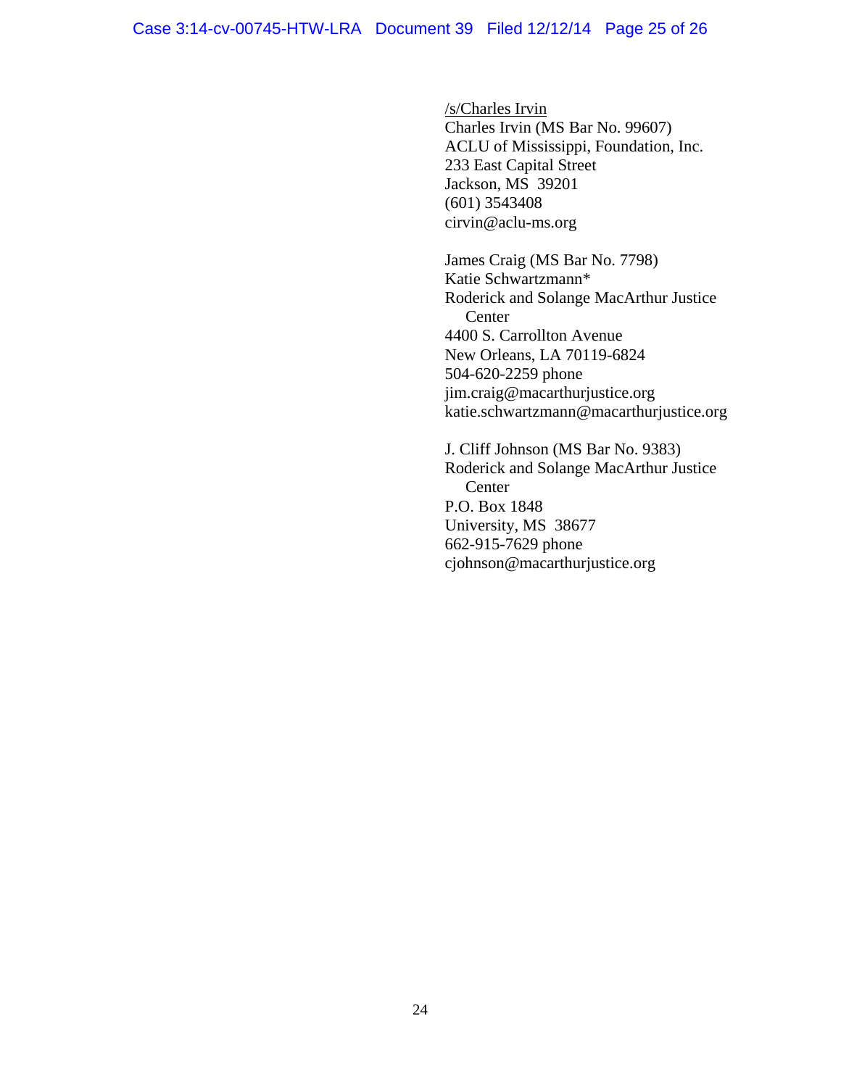/s/Charles Irvin Charles Irvin (MS Bar No. 99607) ACLU of Mississippi, Foundation, Inc. 233 East Capital Street Jackson, MS 39201 (601) 3543408 cirvin@aclu-ms.org

 James Craig (MS Bar No. 7798) Katie Schwartzmann\* Roderick and Solange MacArthur Justice Center 4400 S. Carrollton Avenue New Orleans, LA 70119-6824 504-620-2259 phone jim.craig@macarthurjustice.org katie.schwartzmann@macarthurjustice.org

J. Cliff Johnson (MS Bar No. 9383) Roderick and Solange MacArthur Justice **Center**  P.O. Box 1848 University, MS 38677 662-915-7629 phone cjohnson@macarthurjustice.org